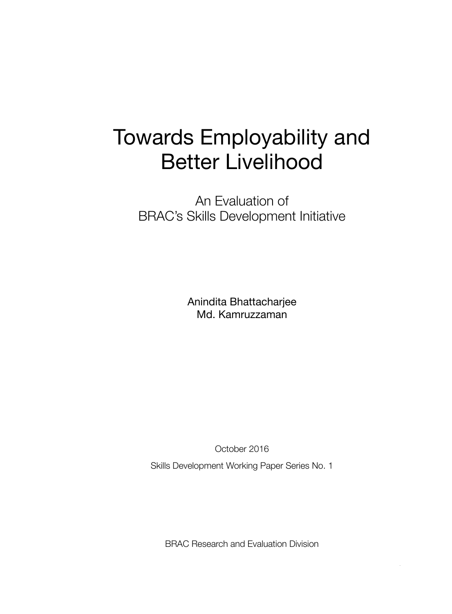An Evaluation of BRAC's Skills Development Initiative

> Anindita Bhattacharjee Md. Kamruzzaman

October 2016 Skills Development Working Paper Series No. 1

BRAC Research and Evaluation Division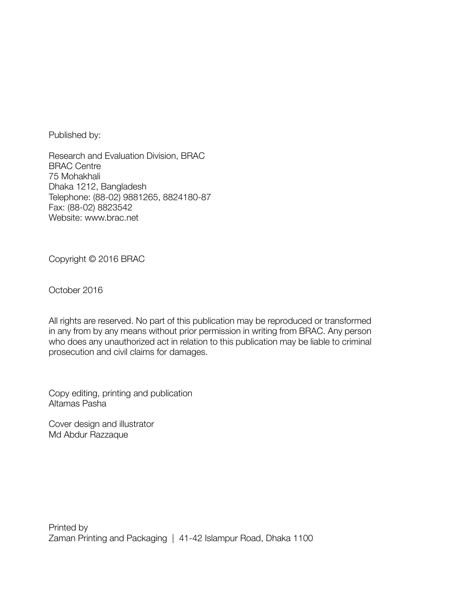Published by:

Research and Evaluation Division, BRAC BRAC Centre 75 Mohakhali Dhaka 1212, Bangladesh Telephone: (88-02) 9881265, 8824180-87 Fax: (88-02) 8823542 Website: www.brac.net

Copyright © 2016 BRAC

October 2016

All rights are reserved. No part of this publication may be reproduced or transformed in any from by any means without prior permission in writing from BRAC. Any person who does any unauthorized act in relation to this publication may be liable to criminal prosecution and civil claims for damages.

Copy editing, printing and publication Altamas Pasha

Cover design and illustrator Md Abdur Razzaque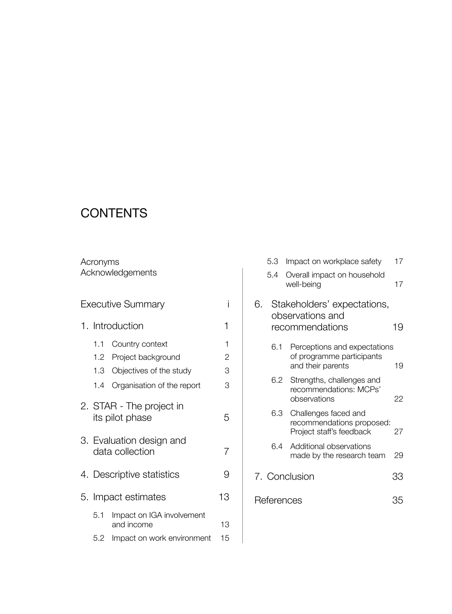# **CONTENTS**

| Acronyms         |  |
|------------------|--|
| Acknowledgements |  |

|         | <b>Executive Summary</b>                    | i  |
|---------|---------------------------------------------|----|
|         | 1. Introduction                             | 1  |
| $1.1 -$ | Country context                             | 1  |
|         | 1.2 Project background                      | 2  |
|         | 1.3 Objectives of the study                 | 3  |
| 1.4     | Organisation of the report                  | 3  |
|         | 2. STAR - The project in<br>its pilot phase | 5  |
|         | 3. Evaluation design and<br>data collection | 7  |
|         | 4. Descriptive statistics                   | 9  |
|         | 5. Impact estimates                         | 13 |
| 5.1     | Impact on IGA involvement<br>and income     | 13 |
| 5.2     | Impact on work environment                  | 15 |

|    | 5.3        | Impact on workplace safety                                                     | 17 |
|----|------------|--------------------------------------------------------------------------------|----|
|    | 5.4        | Overall impact on household<br>well-being                                      | 17 |
| 6. |            | Stakeholders' expectations,<br>observations and<br>recommendations             | 19 |
|    | 6.1        | Perceptions and expectations<br>of programme participants<br>and their parents | 19 |
|    | 6.2        | Strengths, challenges and<br>recommendations: MCPs'<br>observations            | 22 |
|    | 6.3        | Challenges faced and<br>recommendations proposed:<br>Project staff's feedback  | 27 |
|    | 6.4        | Additional observations<br>made by the research team                           | 29 |
|    |            | 7. Conclusion                                                                  | 33 |
|    | References |                                                                                | 35 |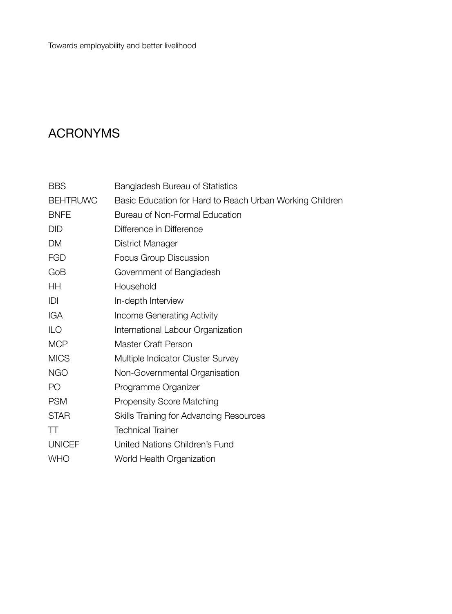# ACRONYMS

| <b>BBS</b>      | Bangladesh Bureau of Statistics                          |
|-----------------|----------------------------------------------------------|
| <b>BEHTRUWC</b> | Basic Education for Hard to Reach Urban Working Children |
| <b>BNFE</b>     | Bureau of Non-Formal Education                           |
| <b>DID</b>      | Difference in Difference                                 |
| <b>DM</b>       | District Manager                                         |
| <b>FGD</b>      | Focus Group Discussion                                   |
| GoB             | Government of Bangladesh                                 |
| HН              | Household                                                |
| IDI             | In-depth Interview                                       |
| <b>IGA</b>      | Income Generating Activity                               |
| ILO             | International Labour Organization                        |
| <b>MCP</b>      | Master Craft Person                                      |
| <b>MICS</b>     | Multiple Indicator Cluster Survey                        |
| <b>NGO</b>      | Non-Governmental Organisation                            |
| PO              | Programme Organizer                                      |
| <b>PSM</b>      | <b>Propensity Score Matching</b>                         |
| <b>STAR</b>     | <b>Skills Training for Advancing Resources</b>           |
| $\top$          | <b>Technical Trainer</b>                                 |
| <b>UNICEF</b>   | United Nations Children's Fund                           |
| <b>WHO</b>      | World Health Organization                                |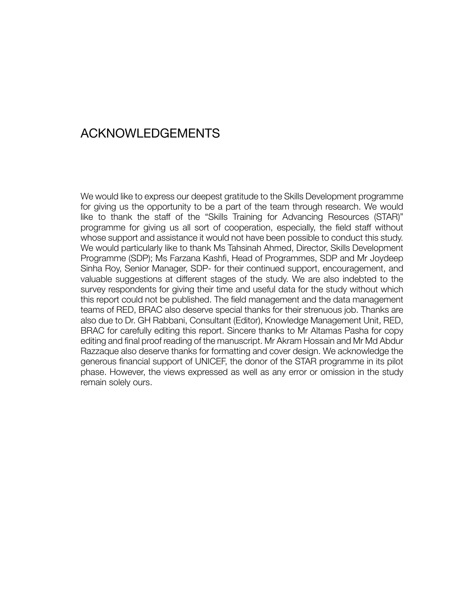### ACKNOWLEDGEMENTS

We would like to express our deepest gratitude to the Skills Development programme for giving us the opportunity to be a part of the team through research. We would like to thank the staff of the "Skills Training for Advancing Resources (STAR)" programme for giving us all sort of cooperation, especially, the field staff without whose support and assistance it would not have been possible to conduct this study. We would particularly like to thank Ms Tahsinah Ahmed, Director, Skills Development Programme (SDP); Ms Farzana Kashfi, Head of Programmes, SDP and Mr Joydeep Sinha Roy, Senior Manager, SDP- for their continued support, encouragement, and valuable suggestions at different stages of the study. We are also indebted to the survey respondents for giving their time and useful data for the study without which this report could not be published. The field management and the data management teams of RED, BRAC also deserve special thanks for their strenuous job. Thanks are also due to Dr. GH Rabbani, Consultant (Editor), Knowledge Management Unit, RED, BRAC for carefully editing this report. Sincere thanks to Mr Altamas Pasha for copy editing and final proof reading of the manuscript. Mr Akram Hossain and Mr Md Abdur Razzaque also deserve thanks for formatting and cover design. We acknowledge the generous financial support of UNICEF, the donor of the STAR programme in its pilot phase. However, the views expressed as well as any error or omission in the study remain solely ours.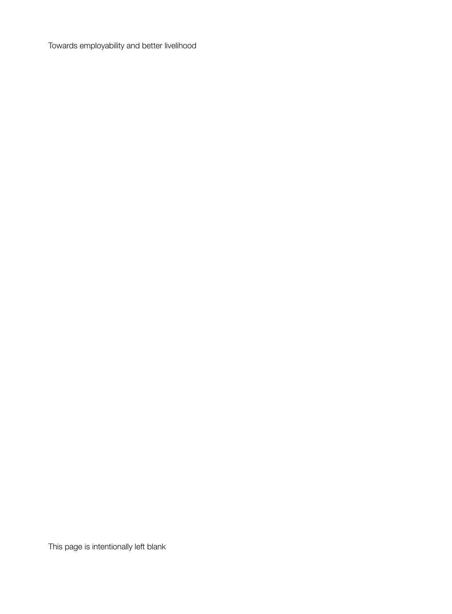This page is intentionally left blank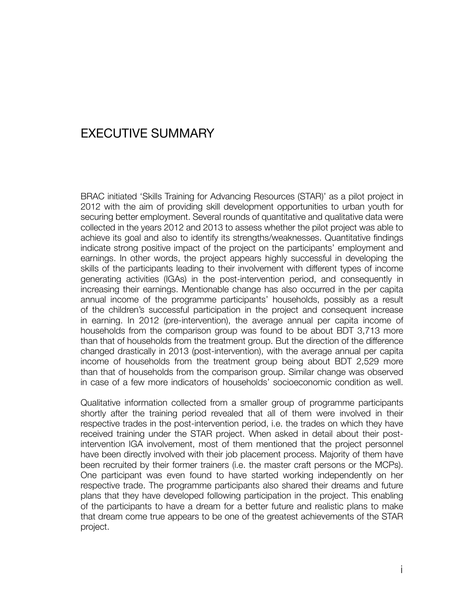### EXECUTIVE SUMMARY

BRAC initiated 'Skills Training for Advancing Resources (STAR)' as a pilot project in 2012 with the aim of providing skill development opportunities to urban youth for securing better employment. Several rounds of quantitative and qualitative data were collected in the years 2012 and 2013 to assess whether the pilot project was able to achieve its goal and also to identify its strengths/weaknesses. Quantitative findings indicate strong positive impact of the project on the participants' employment and earnings. In other words, the project appears highly successful in developing the skills of the participants leading to their involvement with different types of income generating activities (IGAs) in the post-intervention period, and consequently in increasing their earnings. Mentionable change has also occurred in the per capita annual income of the programme participants' households, possibly as a result of the children's successful participation in the project and consequent increase in earning. In 2012 (pre-intervention), the average annual per capita income of households from the comparison group was found to be about BDT 3,713 more than that of households from the treatment group. But the direction of the difference changed drastically in 2013 (post-intervention), with the average annual per capita income of households from the treatment group being about BDT 2,529 more than that of households from the comparison group. Similar change was observed in case of a few more indicators of households' socioeconomic condition as well.

Qualitative information collected from a smaller group of programme participants shortly after the training period revealed that all of them were involved in their respective trades in the post-intervention period, i.e. the trades on which they have received training under the STAR project. When asked in detail about their postintervention IGA involvement, most of them mentioned that the project personnel have been directly involved with their job placement process. Majority of them have been recruited by their former trainers (i.e. the master craft persons or the MCPs). One participant was even found to have started working independently on her respective trade. The programme participants also shared their dreams and future plans that they have developed following participation in the project. This enabling of the participants to have a dream for a better future and realistic plans to make that dream come true appears to be one of the greatest achievements of the STAR project.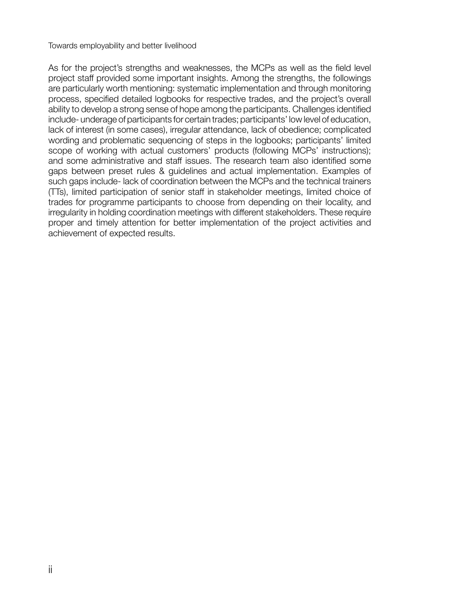As for the project's strengths and weaknesses, the MCPs as well as the field level project staff provided some important insights. Among the strengths, the followings are particularly worth mentioning: systematic implementation and through monitoring process, specified detailed logbooks for respective trades, and the project's overall ability to develop a strong sense of hope among the participants. Challenges identified include- underage of participants for certain trades; participants' low level of education, lack of interest (in some cases), irregular attendance, lack of obedience; complicated wording and problematic sequencing of steps in the logbooks; participants' limited scope of working with actual customers' products (following MCPs' instructions); and some administrative and staff issues. The research team also identified some gaps between preset rules & guidelines and actual implementation. Examples of such gaps include- lack of coordination between the MCPs and the technical trainers (TTs), limited participation of senior staff in stakeholder meetings, limited choice of trades for programme participants to choose from depending on their locality, and irregularity in holding coordination meetings with different stakeholders. These require proper and timely attention for better implementation of the project activities and achievement of expected results.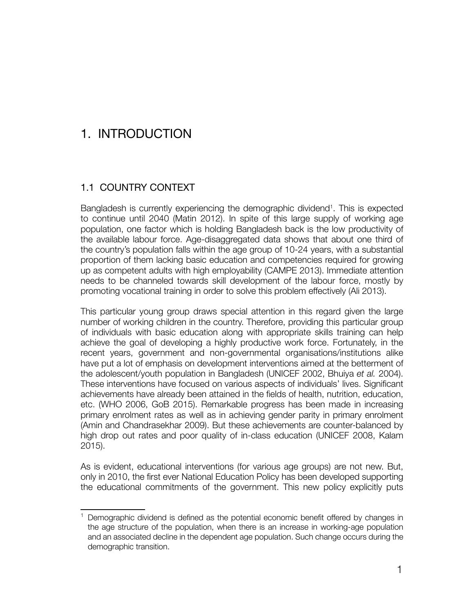## 1. INTRODUCTION

#### 1.1 COUNTRY CONTEXT

Bangladesh is currently experiencing the demographic dividend<sup>1</sup>. This is expected to continue until 2040 (Matin 2012). In spite of this large supply of working age population, one factor which is holding Bangladesh back is the low productivity of the available labour force. Age-disaggregated data shows that about one third of the country's population falls within the age group of 10-24 years, with a substantial proportion of them lacking basic education and competencies required for growing up as competent adults with high employability (CAMPE 2013). Immediate attention needs to be channeled towards skill development of the labour force, mostly by promoting vocational training in order to solve this problem effectively (Ali 2013).

This particular young group draws special attention in this regard given the large number of working children in the country. Therefore, providing this particular group of individuals with basic education along with appropriate skills training can help achieve the goal of developing a highly productive work force. Fortunately, in the recent years, government and non-governmental organisations/institutions alike have put a lot of emphasis on development interventions aimed at the betterment of the adolescent/youth population in Bangladesh (UNICEF 2002, Bhuiya *et al.* 2004). These interventions have focused on various aspects of individuals' lives. Significant achievements have already been attained in the fields of health, nutrition, education, etc. (WHO 2006, GoB 2015). Remarkable progress has been made in increasing primary enrolment rates as well as in achieving gender parity in primary enrolment (Amin and Chandrasekhar 2009). But these achievements are counter-balanced by high drop out rates and poor quality of in-class education (UNICEF 2008, Kalam 2015).

As is evident, educational interventions (for various age groups) are not new. But, only in 2010, the first ever National Education Policy has been developed supporting the educational commitments of the government. This new policy explicitly puts

<sup>&</sup>lt;sup>1</sup> Demographic dividend is defined as the potential economic benefit offered by changes in the age structure of the population, when there is an increase in working-age population and an associated decline in the dependent age population. Such change occurs during the demographic transition.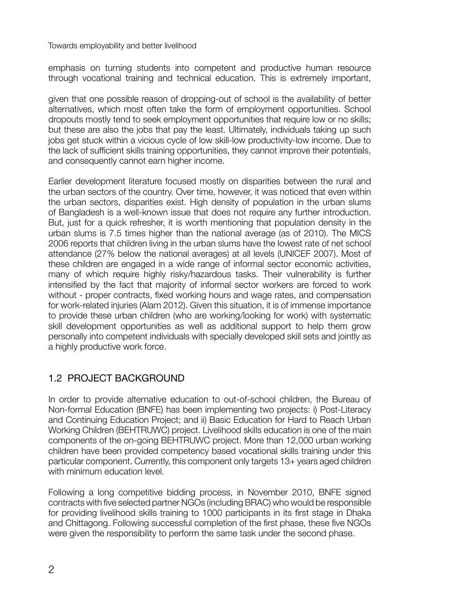emphasis on turning students into competent and productive human resource through vocational training and technical education. This is extremely important,

given that one possible reason of dropping-out of school is the availability of better alternatives, which most often take the form of employment opportunities. School dropouts mostly tend to seek employment opportunities that require low or no skills; but these are also the jobs that pay the least. Ultimately, individuals taking up such jobs get stuck within a vicious cycle of low skill-low productivity-low income. Due to the lack of sufficient skills training opportunities, they cannot improve their potentials, and consequently cannot earn higher income.

Earlier development literature focused mostly on disparities between the rural and the urban sectors of the country. Over time, however, it was noticed that even within the urban sectors, disparities exist. High density of population in the urban slums of Bangladesh is a well-known issue that does not require any further introduction. But, just for a quick refresher, it is worth mentioning that population density in the urban slums is 7.5 times higher than the national average (as of 2010). The MICS 2006 reports that children living in the urban slums have the lowest rate of net school attendance (27% below the national averages) at all levels (UNICEF 2007). Most of these children are engaged in a wide range of informal sector economic activities, many of which require highly risky/hazardous tasks. Their vulnerability is further intensified by the fact that majority of informal sector workers are forced to work without - proper contracts, fixed working hours and wage rates, and compensation for work-related injuries (Alam 2012). Given this situation, it is of immense importance to provide these urban children (who are working/looking for work) with systematic skill development opportunities as well as additional support to help them grow personally into competent individuals with specially developed skill sets and jointly as a highly productive work force.

#### 1.2 PROJECT BACKGROUND

In order to provide alternative education to out-of-school children, the Bureau of Non-formal Education (BNFE) has been implementing two projects: i) Post-Literacy and Continuing Education Project; and ii) Basic Education for Hard to Reach Urban Working Children (BEHTRUWC) project. Livelihood skills education is one of the main components of the on-going BEHTRUWC project. More than 12,000 urban working children have been provided competency based vocational skills training under this particular component. Currently, this component only targets 13+ years aged children with minimum education level.

Following a long competitive bidding process, in November 2010, BNFE signed contracts with five selected partner NGOs (including BRAC) who would be responsible for providing livelihood skills training to 1000 participants in its first stage in Dhaka and Chittagong. Following successful completion of the first phase, these five NGOs were given the responsibility to perform the same task under the second phase.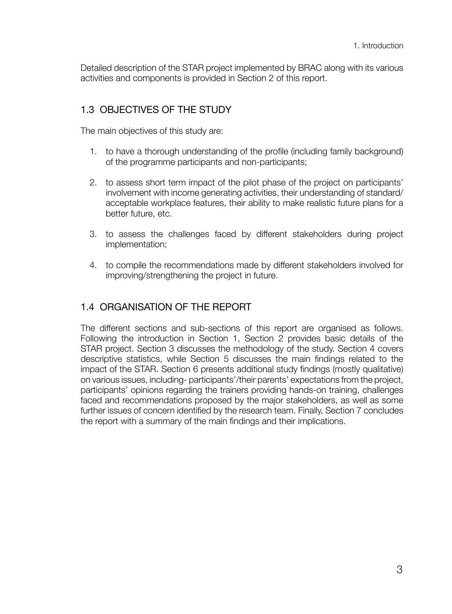Detailed description of the STAR project implemented by BRAC along with its various activities and components is provided in Section 2 of this report.

#### 1.3 OBJECTIVES OF THE STUDY

The main objectives of this study are:

- 1. to have a thorough understanding of the profile (including family background) of the programme participants and non-participants;
- 2. to assess short term impact of the pilot phase of the project on participants' involvement with income generating activities, their understanding of standard/ acceptable workplace features, their ability to make realistic future plans for a better future, etc.
- 3. to assess the challenges faced by different stakeholders during project implementation;
- 4. to compile the recommendations made by different stakeholders involved for improving/strengthening the project in future.

#### 1.4 ORGANISATION OF THE REPORT

The different sections and sub-sections of this report are organised as follows. Following the introduction in Section 1, Section 2 provides basic details of the STAR project. Section 3 discusses the methodology of the study. Section 4 covers descriptive statistics, while Section 5 discusses the main findings related to the impact of the STAR. Section 6 presents additional study findings (mostly qualitative) on various issues, including- participants'/their parents' expectations from the project, participants' opinions regarding the trainers providing hands-on training, challenges faced and recommendations proposed by the major stakeholders, as well as some further issues of concern identified by the research team. Finally, Section 7 concludes the report with a summary of the main findings and their implications.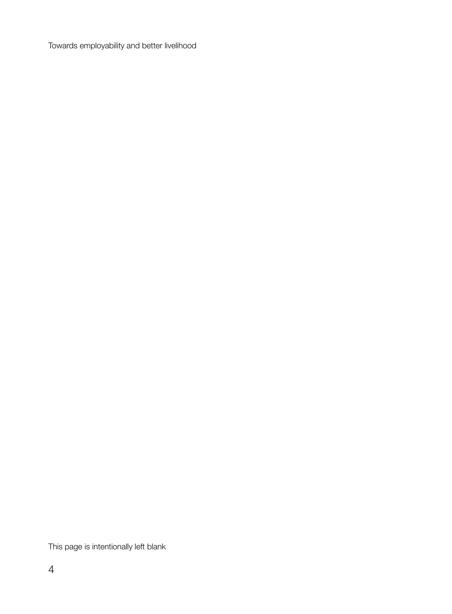This page is intentionally left blank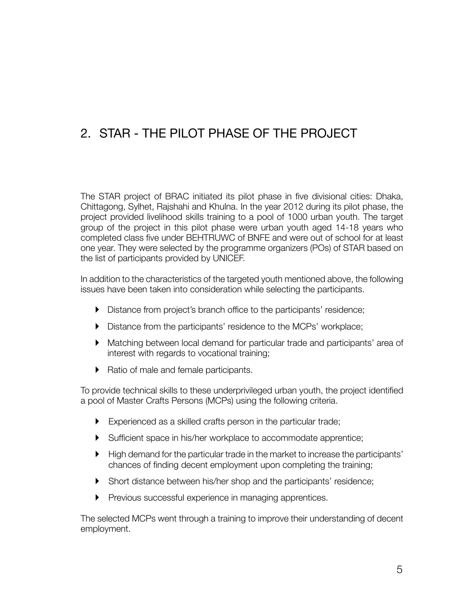# 2. STAR - THE PILOT PHASE OF THE PROJECT

The STAR project of BRAC initiated its pilot phase in five divisional cities: Dhaka, Chittagong, Sylhet, Rajshahi and Khulna. In the year 2012 during its pilot phase, the project provided livelihood skills training to a pool of 1000 urban youth. The target group of the project in this pilot phase were urban youth aged 14-18 years who completed class five under BEHTRUWC of BNFE and were out of school for at least one year. They were selected by the programme organizers (POs) of STAR based on the list of participants provided by UNICEF.

In addition to the characteristics of the targeted youth mentioned above, the following issues have been taken into consideration while selecting the participants.

- Distance from project's branch office to the participants' residence;
- Distance from the participants' residence to the MCPs' workplace;
- Matching between local demand for particular trade and participants' area of interest with regards to vocational training;
- ▶ Ratio of male and female participants.

To provide technical skills to these underprivileged urban youth, the project identified a pool of Master Crafts Persons (MCPs) using the following criteria.

- Experienced as a skilled crafts person in the particular trade;
- Sufficient space in his/her workplace to accommodate apprentice;
- High demand for the particular trade in the market to increase the participants' chances of finding decent employment upon completing the training;
- Short distance between his/her shop and the participants' residence;
- **Previous successful experience in managing apprentices.**

The selected MCPs went through a training to improve their understanding of decent employment.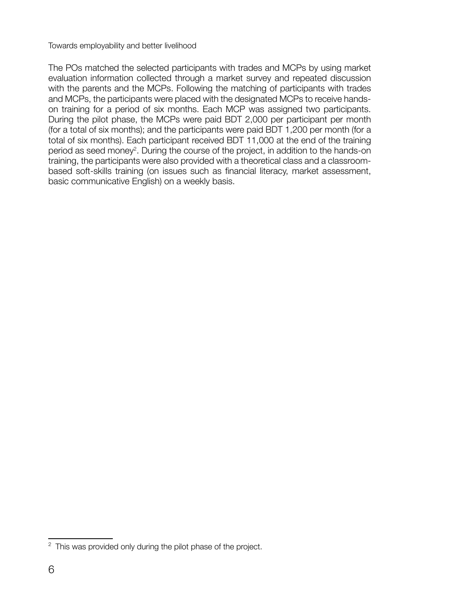The POs matched the selected participants with trades and MCPs by using market evaluation information collected through a market survey and repeated discussion with the parents and the MCPs. Following the matching of participants with trades and MCPs, the participants were placed with the designated MCPs to receive handson training for a period of six months. Each MCP was assigned two participants. During the pilot phase, the MCPs were paid BDT 2,000 per participant per month (for a total of six months); and the participants were paid BDT 1,200 per month (for a total of six months). Each participant received BDT 11,000 at the end of the training period as seed money<sup>2</sup>. During the course of the project, in addition to the hands-on training, the participants were also provided with a theoretical class and a classroombased soft-skills training (on issues such as financial literacy, market assessment, basic communicative English) on a weekly basis.

 $2$  This was provided only during the pilot phase of the project.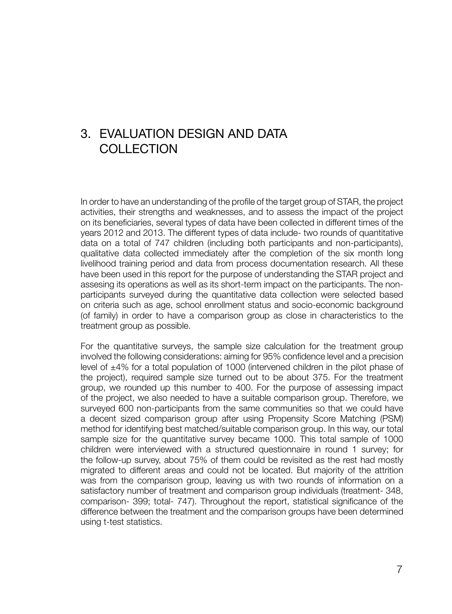### 3. EVALUATION DESIGN AND DATA **COLLECTION**

In order to have an understanding of the profile of the target group of STAR, the project activities, their strengths and weaknesses, and to assess the impact of the project on its beneficiaries, several types of data have been collected in different times of the years 2012 and 2013. The different types of data include- two rounds of quantitative data on a total of 747 children (including both participants and non-participants), qualitative data collected immediately after the completion of the six month long livelihood training period and data from process documentation research. All these have been used in this report for the purpose of understanding the STAR project and assesing its operations as well as its short-term impact on the participants. The nonparticipants surveyed during the quantitative data collection were selected based on criteria such as age, school enrollment status and socio-economic background (of family) in order to have a comparison group as close in characteristics to the treatment group as possible.

For the quantitative surveys, the sample size calculation for the treatment group involved the following considerations: aiming for 95% confidence level and a precision level of ±4% for a total population of 1000 (intervened children in the pilot phase of the project), required sample size turned out to be about 375. For the treatment group, we rounded up this number to 400. For the purpose of assessing impact of the project, we also needed to have a suitable comparison group. Therefore, we surveyed 600 non-participants from the same communities so that we could have a decent sized comparison group after using Propensity Score Matching (PSM) method for identifying best matched/suitable comparison group. In this way, our total sample size for the quantitative survey became 1000. This total sample of 1000 children were interviewed with a structured questionnaire in round 1 survey; for the follow-up survey, about 75% of them could be revisited as the rest had mostly migrated to different areas and could not be located. But majority of the attrition was from the comparison group, leaving us with two rounds of information on a satisfactory number of treatment and comparison group individuals (treatment- 348, comparison- 399; total- 747). Throughout the report, statistical significance of the difference between the treatment and the comparison groups have been determined using t-test statistics.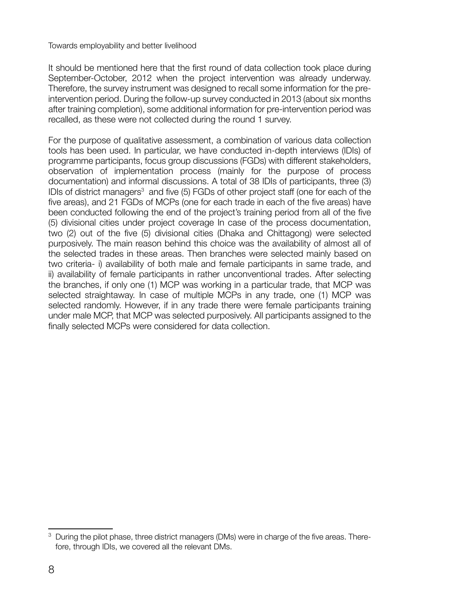It should be mentioned here that the first round of data collection took place during September-October, 2012 when the project intervention was already underway. Therefore, the survey instrument was designed to recall some information for the preintervention period. During the follow-up survey conducted in 2013 (about six months after training completion), some additional information for pre-intervention period was recalled, as these were not collected during the round 1 survey.

For the purpose of qualitative assessment, a combination of various data collection tools has been used. In particular, we have conducted in-depth interviews (IDIs) of programme participants, focus group discussions (FGDs) with different stakeholders, observation of implementation process (mainly for the purpose of process documentation) and informal discussions. A total of 38 IDIs of participants, three (3) IDIs of district managers<sup>3</sup> and five (5) FGDs of other project staff (one for each of the five areas), and 21 FGDs of MCPs (one for each trade in each of the five areas) have been conducted following the end of the project's training period from all of the five (5) divisional cities under project coverage In case of the process documentation, two (2) out of the five (5) divisional cities (Dhaka and Chittagong) were selected purposively. The main reason behind this choice was the availability of almost all of the selected trades in these areas. Then branches were selected mainly based on two criteria- i) availability of both male and female participants in same trade, and ii) availability of female participants in rather unconventional trades. After selecting the branches, if only one (1) MCP was working in a particular trade, that MCP was selected straightaway. In case of multiple MCPs in any trade, one (1) MCP was selected randomly. However, if in any trade there were female participants training under male MCP, that MCP was selected purposively. All participants assigned to the finally selected MCPs were considered for data collection.

During the pilot phase, three district managers (DMs) were in charge of the five areas. Therefore, through IDIs, we covered all the relevant DMs.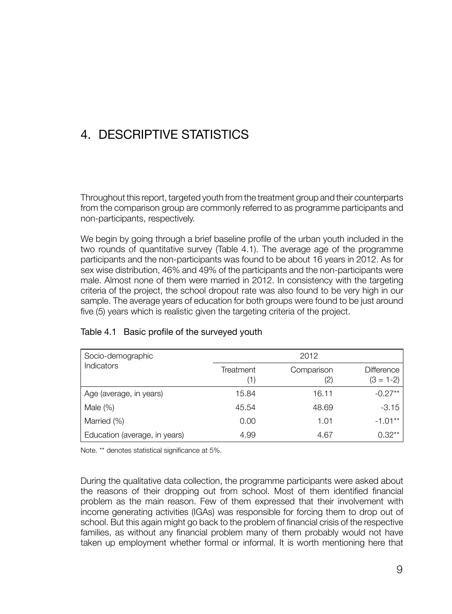# 4. DESCRIPTIVE STATISTICS

Throughout this report, targeted youth from the treatment group and their counterparts from the comparison group are commonly referred to as programme participants and non-participants, respectively.

We begin by going through a brief baseline profile of the urban youth included in the two rounds of quantitative survey (Table 4.1). The average age of the programme participants and the non-participants was found to be about 16 years in 2012. As for sex wise distribution, 46% and 49% of the participants and the non-participants were male. Almost none of them were married in 2012. In consistency with the targeting criteria of the project, the school dropout rate was also found to be very high in our sample. The average years of education for both groups were found to be just around five (5) years which is realistic given the targeting criteria of the project.

| Socio-demographic             |           | 2012             |                                  |
|-------------------------------|-----------|------------------|----------------------------------|
| Indicators                    | Treatment | Comparison<br>2) | <b>Difference</b><br>$(3 = 1-2)$ |
| Age (average, in years)       | 15.84     | 16.11            | $-0.27**$                        |
| Male $(\%)$                   | 45.54     | 48.69            | $-3.15$                          |
| Married (%)                   | 0.00      | 1.01             | $-1.01**$                        |
| Education (average, in years) | 4.99      | 4.67             | $0.32***$                        |

#### Table 4.1 Basic profile of the surveyed youth

Note. \*\* denotes statistical significance at 5%.

During the qualitative data collection, the programme participants were asked about the reasons of their dropping out from school. Most of them identified financial problem as the main reason. Few of them expressed that their involvement with income generating activities (IGAs) was responsible for forcing them to drop out of school. But this again might go back to the problem of financial crisis of the respective families, as without any financial problem many of them probably would not have taken up employment whether formal or informal. It is worth mentioning here that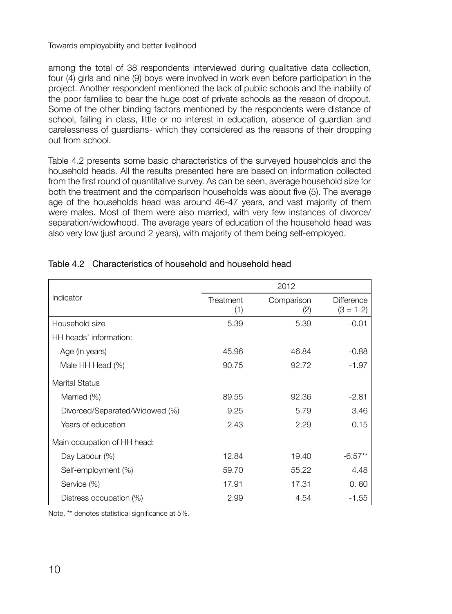among the total of 38 respondents interviewed during qualitative data collection, four (4) girls and nine (9) boys were involved in work even before participation in the project. Another respondent mentioned the lack of public schools and the inability of the poor families to bear the huge cost of private schools as the reason of dropout. Some of the other binding factors mentioned by the respondents were distance of school, failing in class, little or no interest in education, absence of guardian and carelessness of guardians- which they considered as the reasons of their dropping out from school.

Table 4.2 presents some basic characteristics of the surveyed households and the household heads. All the results presented here are based on information collected from the first round of quantitative survey. As can be seen, average household size for both the treatment and the comparison households was about five (5). The average age of the households head was around 46-47 years, and vast majority of them were males. Most of them were also married, with very few instances of divorce/ separation/widowhood. The average years of education of the household head was also very low (just around 2 years), with majority of them being self-employed.

|                                | 2012             |                   |                                  |  |
|--------------------------------|------------------|-------------------|----------------------------------|--|
| Indicator                      | Treatment<br>(1) | Comparison<br>(2) | <b>Difference</b><br>$(3 = 1-2)$ |  |
| Household size                 | 5.39             | 5.39              | $-0.01$                          |  |
| HH heads' information:         |                  |                   |                                  |  |
| Age (in years)                 | 45.96            | 46.84             | $-0.88$                          |  |
| Male HH Head (%)               | 90.75            | 92.72             | $-1.97$                          |  |
| <b>Marital Status</b>          |                  |                   |                                  |  |
| Married (%)                    | 89.55            | 92.36             | $-2.81$                          |  |
| Divorced/Separated/Widowed (%) | 9.25             | 5.79              | 3.46                             |  |
| Years of education             | 2.43             | 2.29              | 0.15                             |  |
| Main occupation of HH head:    |                  |                   |                                  |  |
| Day Labour (%)                 | 12.84            | 19.40             | $-6.57**$                        |  |
| Self-employment (%)            | 59.70            | 55.22             | 4.48                             |  |
| Service (%)                    | 17.91            | 17.31             | 0.60                             |  |
| Distress occupation (%)        | 2.99             | 4.54              | $-1.55$                          |  |

#### Table 4.2 Characteristics of household and household head

Note. \*\* denotes statistical significance at 5%.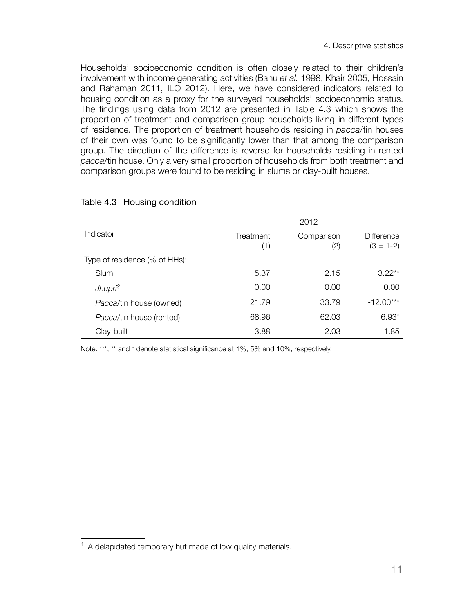Households' socioeconomic condition is often closely related to their children's involvement with income generating activities (Banu *et al.* 1998, Khair 2005, Hossain and Rahaman 2011, ILO 2012). Here, we have considered indicators related to housing condition as a proxy for the surveyed households' socioeconomic status. The findings using data from 2012 are presented in Table 4.3 which shows the proportion of treatment and comparison group households living in different types of residence. The proportion of treatment households residing in *pacca*/tin houses of their own was found to be significantly lower than that among the comparison group. The direction of the difference is reverse for households residing in rented *pacca*/tin house. Only a very small proportion of households from both treatment and comparison groups were found to be residing in slums or clay-built houses.

|                               | 2012      |            |                   |  |
|-------------------------------|-----------|------------|-------------------|--|
| Indicator                     | Treatment | Comparison | <b>Difference</b> |  |
|                               | (1)       | (2)        | $(3 = 1-2)$       |  |
| Type of residence (% of HHs): |           |            |                   |  |
| Slum                          | 5.37      | 2.15       | $3.22***$         |  |
| Jhupri <sup>3</sup>           | 0.00      | 0.00       | 0.00              |  |
| Pacca/tin house (owned)       | 21.79     | 33.79      | $-12.00***$       |  |
| Pacca/tin house (rented)      | 68.96     | 62.03      | $6.93*$           |  |
| Clay-built                    | 3.88      | 2.03       | 1.85              |  |

|  |  | Table 4.3 Housing condition |
|--|--|-----------------------------|
|--|--|-----------------------------|

Note. \*\*\*, \*\* and \* denote statistical significance at 1%, 5% and 10%, respectively.

<sup>4</sup> A delapidated temporary hut made of low quality materials.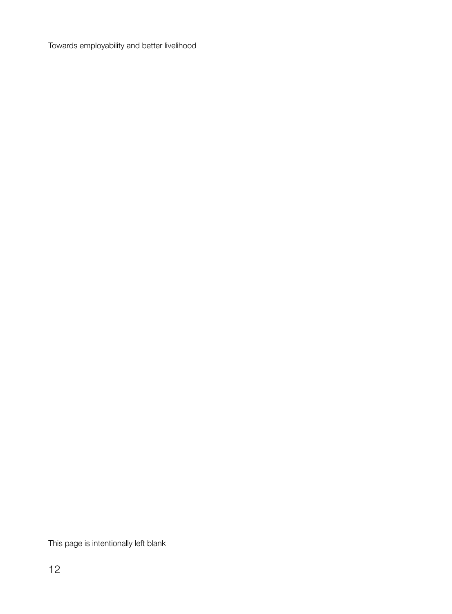This page is intentionally left blank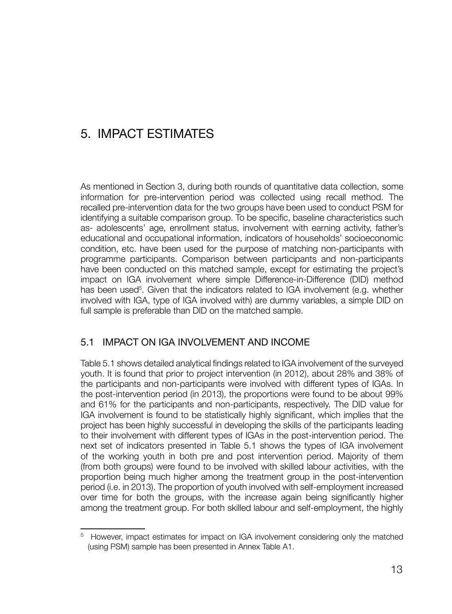# 5. IMPACT ESTIMATES

As mentioned in Section 3, during both rounds of quantitative data collection, some information for pre-intervention period was collected using recall method. The recalled pre-intervention data for the two groups have been used to conduct PSM for identifying a suitable comparison group. To be specific, baseline characteristics such as- adolescents' age, enrollment status, involvement with earning activity, father's educational and occupational information, indicators of households' socioeconomic condition, etc. have been used for the purpose of matching non-participants with programme participants. Comparison between participants and non-participants have been conducted on this matched sample, except for estimating the project's impact on IGA involvement where simple Difference-in-Difference (DID) method has been used<sup>5</sup>. Given that the indicators related to IGA involvement (e.g. whether involved with IGA, type of IGA involved with) are dummy variables, a simple DID on full sample is preferable than DID on the matched sample.

#### 5.1 IMPACT ON IGA INVOLVEMENT AND INCOME

Table 5.1 shows detailed analytical findings related to IGA involvement of the surveyed youth. It is found that prior to project intervention (in 2012), about 28% and 38% of the participants and non-participants were involved with different types of IGAs. In the post-intervention period (in 2013), the proportions were found to be about 99% and 61% for the participants and non-participants, respectively. The DID value for IGA involvement is found to be statistically highly significant, which implies that the project has been highly successful in developing the skills of the participants leading to their involvement with different types of IGAs in the post-intervention period. The next set of indicators presented in Table 5.1 shows the types of IGA involvement of the working youth in both pre and post intervention period. Majority of them (from both groups) were found to be involved with skilled labour activities, with the proportion being much higher among the treatment group in the post-intervention period (i.e. in 2013). The proportion of youth involved with self-employment increased over time for both the groups, with the increase again being significantly higher among the treatment group. For both skilled labour and self-employment, the highly

<sup>&</sup>lt;sup>5</sup> However, impact estimates for impact on IGA involvement considering only the matched (using PSM) sample has been presented in Annex Table A1.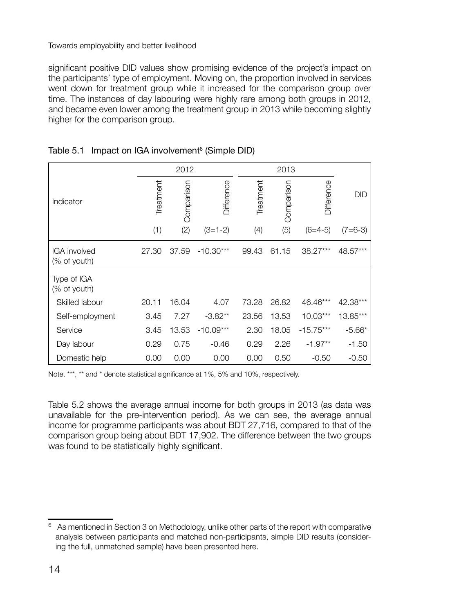significant positive DID values show promising evidence of the project's impact on the participants' type of employment. Moving on, the proportion involved in services went down for treatment group while it increased for the comparison group over time. The instances of day labouring were highly rare among both groups in 2012, and became even lower among the treatment group in 2013 while becoming slightly higher for the comparison group.

|                                     |           | 2012       |                   |           | 2013       |                   |            |
|-------------------------------------|-----------|------------|-------------------|-----------|------------|-------------------|------------|
| Indicator                           | Treatment | Comparison | <b>Difference</b> | Treatment | Comparison | <b>Difference</b> | <b>DID</b> |
|                                     | (1)       | (2)        | $(3=1-2)$         | (4)       | (5)        | $(6=4-5)$         | $(7=6-3)$  |
| <b>IGA</b> involved<br>(% of youth) | 27.30     | 37.59      | $-10.30***$       | 99.43     | 61.15      | 38.27***          | 48.57***   |
| Type of IGA<br>(% of youth)         |           |            |                   |           |            |                   |            |
| Skilled labour                      | 20.11     | 16.04      | 4.07              | 73.28     | 26.82      | 46.46***          | 42.38***   |
| Self-employment                     | 3.45      | 7.27       | $-3.82**$         | 23.56     | 13.53      | $10.03***$        | 13.85***   |
| Service                             | 3.45      | 13.53      | $-10.09***$       | 2.30      | 18.05      | $-15.75***$       | $-5.66*$   |
| Day labour                          | 0.29      | 0.75       | $-0.46$           | 0.29      | 2.26       | $-1.97**$         | $-1.50$    |
| Domestic help                       | 0.00      | 0.00       | 0.00              | 0.00      | 0.50       | $-0.50$           | $-0.50$    |

| Table 5.1 Impact on IGA involvement <sup>6</sup> (Simple DID) |  |
|---------------------------------------------------------------|--|
|                                                               |  |

Note. \*\*\*, \*\* and \* denote statistical significance at 1%, 5% and 10%, respectively.

Table 5.2 shows the average annual income for both groups in 2013 (as data was unavailable for the pre-intervention period). As we can see, the average annual income for programme participants was about BDT 27,716, compared to that of the comparison group being about BDT 17,902. The difference between the two groups was found to be statistically highly significant.

 $6$  As mentioned in Section 3 on Methodology, unlike other parts of the report with comparative analysis between participants and matched non-participants, simple DID results (considering the full, unmatched sample) have been presented here.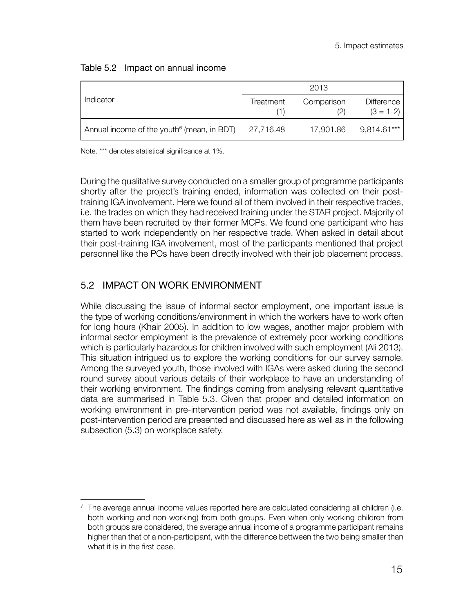|                                               | 2013             |                   |                           |  |
|-----------------------------------------------|------------------|-------------------|---------------------------|--|
| Indicator                                     | Treatment<br>(1' | Comparison<br>(2) | Difference<br>$(3 = 1-2)$ |  |
| Annual income of the youth $6$ (mean, in BDT) | 27.716.48        | 17.901.86         | 9.814.61***               |  |

#### Table 5.2 Impact on annual income

Note. \*\*\* denotes statistical significance at 1%.

During the qualitative survey conducted on a smaller group of programme participants shortly after the project's training ended, information was collected on their posttraining IGA involvement. Here we found all of them involved in their respective trades, i.e. the trades on which they had received training under the STAR project. Majority of them have been recruited by their former MCPs. We found one participant who has started to work independently on her respective trade. When asked in detail about their post-training IGA involvement, most of the participants mentioned that project personnel like the POs have been directly involved with their job placement process.

#### 5.2 IMPACT ON WORK ENVIRONMENT

While discussing the issue of informal sector employment, one important issue is the type of working conditions/environment in which the workers have to work often for long hours (Khair 2005). In addition to low wages, another major problem with informal sector employment is the prevalence of extremely poor working conditions which is particularly hazardous for children involved with such employment (Ali 2013). This situation intrigued us to explore the working conditions for our survey sample. Among the surveyed youth, those involved with IGAs were asked during the second round survey about various details of their workplace to have an understanding of their working environment. The findings coming from analysing relevant quantitative data are summarised in Table 5.3. Given that proper and detailed information on working environment in pre-intervention period was not available, findings only on post-intervention period are presented and discussed here as well as in the following subsection (5.3) on workplace safety.

 $7$  The average annual income values reported here are calculated considering all children (i.e. both working and non-working) from both groups. Even when only working children from both groups are considered, the average annual income of a programme participant remains higher than that of a non-participant, with the difference bettween the two being smaller than what it is in the first case.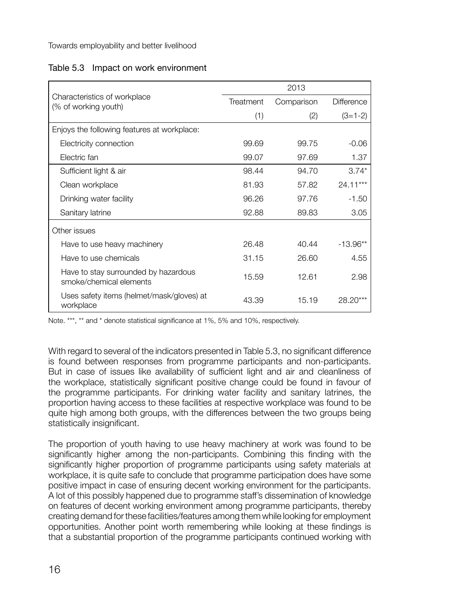|                                                                 | 2013      |            |                   |  |
|-----------------------------------------------------------------|-----------|------------|-------------------|--|
| Characteristics of workplace<br>(% of working youth)            | Treatment | Comparison | <b>Difference</b> |  |
|                                                                 | (1)       | (2)        | $(3=1-2)$         |  |
| Enjoys the following features at workplace:                     |           |            |                   |  |
| Electricity connection                                          | 99.69     | 99.75      | $-0.06$           |  |
| Electric fan                                                    | 99.07     | 97.69      | 1.37              |  |
| Sufficient light & air                                          | 98.44     | 94.70      | $3.74*$           |  |
| Clean workplace                                                 | 81.93     | 57.82      | 24.11***          |  |
| Drinking water facility                                         | 96.26     | 97.76      | $-1.50$           |  |
| Sanitary latrine                                                | 92.88     | 89.83      | 3.05              |  |
| Other issues                                                    |           |            |                   |  |
| Have to use heavy machinery                                     | 26.48     | 40.44      | $-13.96**$        |  |
| Have to use chemicals                                           | 31.15     | 26.60      | 4.55              |  |
| Have to stay surrounded by hazardous<br>smoke/chemical elements | 15.59     | 12.61      | 2.98              |  |
| Uses safety items (helmet/mask/gloves) at<br>workplace          | 43.39     | 15.19      | 28.20***          |  |

#### Table 5.3 Impact on work environment

Note. \*\*\*, \*\* and \* denote statistical significance at 1%, 5% and 10%, respectively.

With regard to several of the indicators presented in Table 5.3, no significant difference is found between responses from programme participants and non-participants. But in case of issues like availability of sufficient light and air and cleanliness of the workplace, statistically significant positive change could be found in favour of the programme participants. For drinking water facility and sanitary latrines, the proportion having access to these facilities at respective workplace was found to be quite high among both groups, with the differences between the two groups being statistically insignificant.

The proportion of youth having to use heavy machinery at work was found to be significantly higher among the non-participants. Combining this finding with the significantly higher proportion of programme participants using safety materials at workplace, it is quite safe to conclude that programme participation does have some positive impact in case of ensuring decent working environment for the participants. A lot of this possibly happened due to programme staff's dissemination of knowledge on features of decent working environment among programme participants, thereby creating demand for these facilities/features among them while looking for employment opportunities. Another point worth remembering while looking at these findings is that a substantial proportion of the programme participants continued working with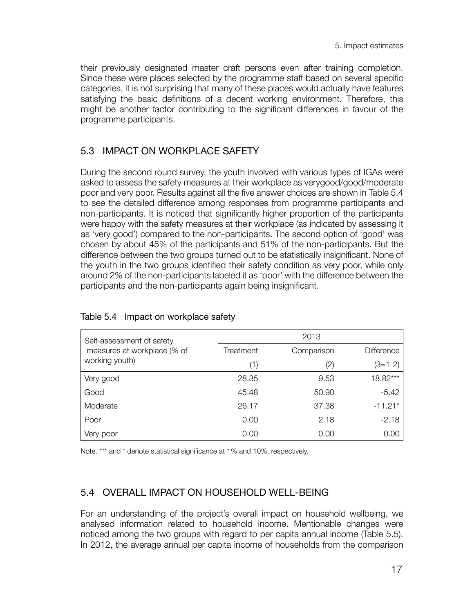their previously designated master craft persons even after training completion. Since these were places selected by the programme staff based on several specific categories, it is not surprising that many of these places would actually have features satisfying the basic definitions of a decent working environment. Therefore, this might be another factor contributing to the significant differences in favour of the programme participants.

#### 5.3 IMPACT ON WORKPLACE SAFETY

During the second round survey, the youth involved with various types of IGAs were asked to assess the safety measures at their workplace as verygood/good/moderate poor and very poor. Results against all the five answer choices are shown in Table 5.4 to see the detailed difference among responses from programme participants and non-participants. It is noticed that significantly higher proportion of the participants were happy with the safety measures at their workplace (as indicated by assessing it as 'very good') compared to the non-participants. The second option of 'good' was chosen by about 45% of the participants and 51% of the non-participants. But the difference between the two groups turned out to be statistically insignificant. None of the youth in the two groups identified their safety condition as very poor, while only around 2% of the non-participants labeled it as 'poor' with the difference between the participants and the non-participants again being insignificant.

| Self-assessment of safety   | 2013      |            |                   |  |  |  |
|-----------------------------|-----------|------------|-------------------|--|--|--|
| measures at workplace (% of | Treatment | Comparison | <b>Difference</b> |  |  |  |
| working youth)              | (1)       | (2)        | $(3=1-2)$         |  |  |  |
| Very good                   | 28.35     | 9.53       | 18.82***          |  |  |  |
| Good                        | 45.48     | 50.90      | $-5.42$           |  |  |  |
| Moderate                    | 26.17     | 37.38      | $-11.21*$         |  |  |  |
| Poor                        | 0.00      | 2.18       | $-2.18$           |  |  |  |
| Very poor                   | 0.00      | 0.00       | 0.00              |  |  |  |

#### Table 5.4 Impact on workplace safety

Note. \*\*\* and \* denote statistical significance at 1% and 10%, respectively.

#### 5.4 OVERALL IMPACT ON HOUSEHOLD WELL-BEING

For an understanding of the project's overall impact on household wellbeing, we analysed information related to household income. Mentionable changes were noticed among the two groups with regard to per capita annual income (Table 5.5). In 2012, the average annual per capita income of households from the comparison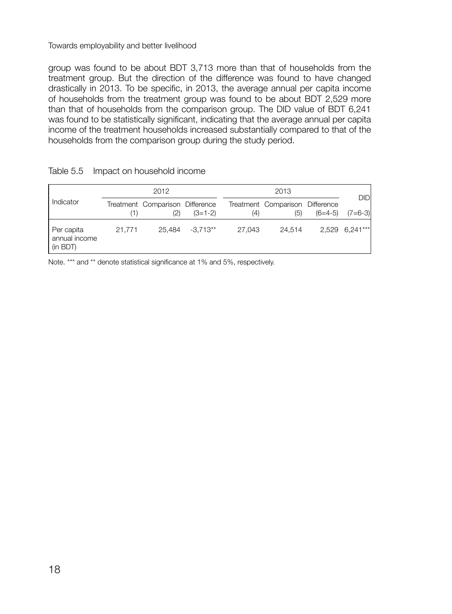group was found to be about BDT 3,713 more than that of households from the treatment group. But the direction of the difference was found to have changed drastically in 2013. To be specific, in 2013, the average annual per capita income of households from the treatment group was found to be about BDT 2,529 more than that of households from the comparison group. The DID value of BDT 6,241 was found to be statistically significant, indicating that the average annual per capita income of the treatment households increased substantially compared to that of the households from the comparison group during the study period.

|                                         | 2012   |                                        |            | 2013   |                                        |           | <b>DID</b>     |
|-----------------------------------------|--------|----------------------------------------|------------|--------|----------------------------------------|-----------|----------------|
| Indicator                               | (1)    | Treatment Comparison Difference<br>(2) | $(3=1-2)$  | (4)    | Treatment Comparison Difference<br>(5) | $(6=4-5)$ | $(7=6-3)$      |
| Per capita<br>annual income<br>(in BDT) | 21.771 | 25.484                                 | $-3.713**$ | 27.043 | 24.514                                 |           | 2.529 6.241*** |

| Table 5.5 | Impact on household income |  |
|-----------|----------------------------|--|
|-----------|----------------------------|--|

Note. \*\*\* and \*\* denote statistical significance at 1% and 5%, respectively.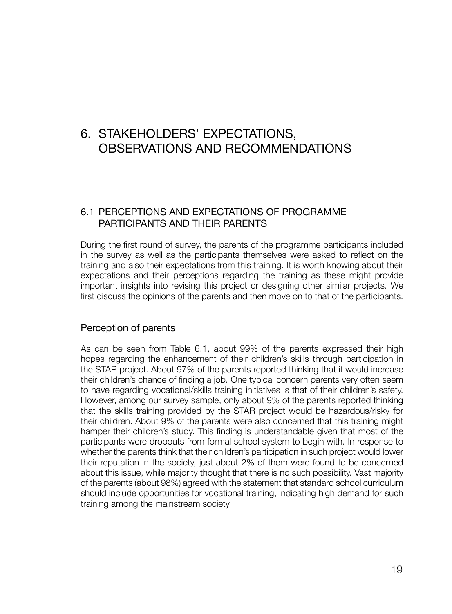## 6. STAKEHOLDERS' EXPECTATIONS, OBSERVATIONS AND RECOMMENDATIONS

#### 6.1 PERCEPTIONS AND EXPECTATIONS OF PROGRAMME PARTICIPANTS AND THEIR PARENTS

During the first round of survey, the parents of the programme participants included in the survey as well as the participants themselves were asked to reflect on the training and also their expectations from this training. It is worth knowing about their expectations and their perceptions regarding the training as these might provide important insights into revising this project or designing other similar projects. We first discuss the opinions of the parents and then move on to that of the participants.

#### Perception of parents

As can be seen from Table 6.1, about 99% of the parents expressed their high hopes regarding the enhancement of their children's skills through participation in the STAR project. About 97% of the parents reported thinking that it would increase their children's chance of finding a job. One typical concern parents very often seem to have regarding vocational/skills training initiatives is that of their children's safety. However, among our survey sample, only about 9% of the parents reported thinking that the skills training provided by the STAR project would be hazardous/risky for their children. About 9% of the parents were also concerned that this training might hamper their children's study. This finding is understandable given that most of the participants were dropouts from formal school system to begin with. In response to whether the parents think that their children's participation in such project would lower their reputation in the society, just about 2% of them were found to be concerned about this issue, while majority thought that there is no such possibility. Vast majority of the parents (about 98%) agreed with the statement that standard school curriculum should include opportunities for vocational training, indicating high demand for such training among the mainstream society.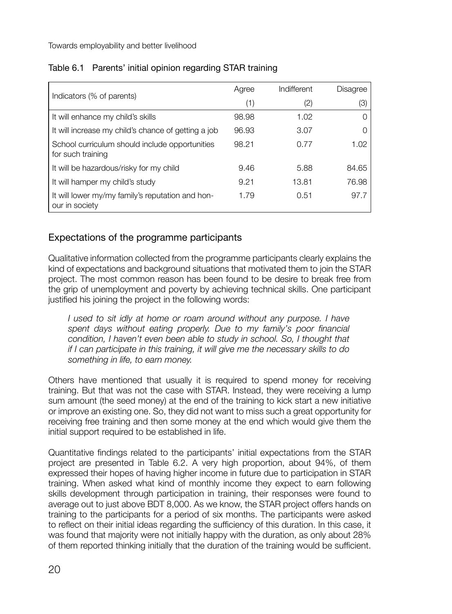|                                                                     | Agree | Indifferent | Disagree |
|---------------------------------------------------------------------|-------|-------------|----------|
| Indicators (% of parents)                                           | (1)   | (2)         | (3)      |
| It will enhance my child's skills                                   | 98.98 | 1.02        | O        |
| It will increase my child's chance of getting a job                 | 96.93 | 3.07        |          |
| School curriculum should include opportunities<br>for such training | 98.21 | 0.77        | 1.02     |
| It will be hazardous/risky for my child                             | 9.46  | 5.88        | 84.65    |
| It will hamper my child's study                                     | 9.21  | 13.81       | 76.98    |
| It will lower my/my family's reputation and hon-<br>our in society  | 1.79  | 0.51        | 97.7     |

#### Table 6.1 Parents' initial opinion regarding STAR training

#### Expectations of the programme participants

Qualitative information collected from the programme participants clearly explains the kind of expectations and background situations that motivated them to join the STAR project. The most common reason has been found to be desire to break free from the grip of unemployment and poverty by achieving technical skills. One participant justified his joining the project in the following words:

*I used to sit idly at home or roam around without any purpose. I have spent days without eating properly. Due to my family's poor financial condition, I haven't even been able to study in school. So, I thought that if I can participate in this training, it will give me the necessary skills to do something in life, to earn money.*

Others have mentioned that usually it is required to spend money for receiving training. But that was not the case with STAR. Instead, they were receiving a lump sum amount (the seed money) at the end of the training to kick start a new initiative or improve an existing one. So, they did not want to miss such a great opportunity for receiving free training and then some money at the end which would give them the initial support required to be established in life.

Quantitative findings related to the participants' initial expectations from the STAR project are presented in Table 6.2. A very high proportion, about 94%, of them expressed their hopes of having higher income in future due to participation in STAR training. When asked what kind of monthly income they expect to earn following skills development through participation in training, their responses were found to average out to just above BDT 8,000. As we know, the STAR project offers hands on training to the participants for a period of six months. The participants were asked to reflect on their initial ideas regarding the sufficiency of this duration. In this case, it was found that majority were not initially happy with the duration, as only about 28% of them reported thinking initially that the duration of the training would be sufficient.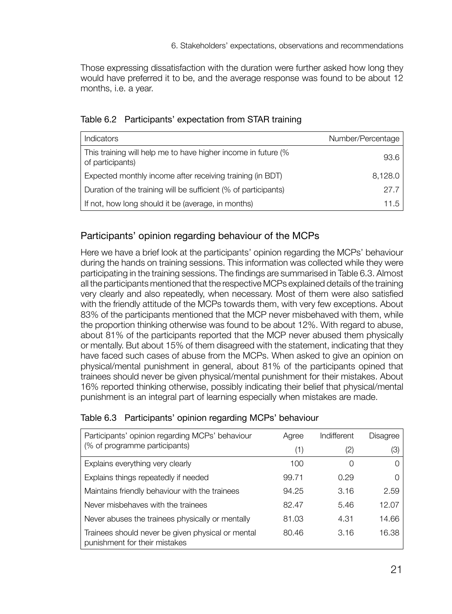Those expressing dissatisfaction with the duration were further asked how long they would have preferred it to be, and the average response was found to be about 12 months, i.e. a year.

| <b>Indicators</b>                                                                 | Number/Percentage |
|-----------------------------------------------------------------------------------|-------------------|
| This training will help me to have higher income in future (%<br>of participants) | 93.6              |
| Expected monthly income after receiving training (in BDT)                         | 8.128.0           |
| Duration of the training will be sufficient (% of participants)                   | 27 7              |
| If not, how long should it be (average, in months)                                | 11.5              |

#### Table 6.2 Participants' expectation from STAR training

#### Participants' opinion regarding behaviour of the MCPs

Here we have a brief look at the participants' opinion regarding the MCPs' behaviour during the hands on training sessions. This information was collected while they were participating in the training sessions. The findings are summarised in Table 6.3. Almost all the participants mentioned that the respective MCPs explained details of the training very clearly and also repeatedly, when necessary. Most of them were also satisfied with the friendly attitude of the MCPs towards them, with very few exceptions. About 83% of the participants mentioned that the MCP never misbehaved with them, while the proportion thinking otherwise was found to be about 12%. With regard to abuse, about 81% of the participants reported that the MCP never abused them physically or mentally. But about 15% of them disagreed with the statement, indicating that they have faced such cases of abuse from the MCPs. When asked to give an opinion on physical/mental punishment in general, about 81% of the participants opined that trainees should never be given physical/mental punishment for their mistakes. About 16% reported thinking otherwise, possibly indicating their belief that physical/mental punishment is an integral part of learning especially when mistakes are made.

| Participants' opinion regarding MCPs' behaviour                                    | Agree | Indifferent | Disagree |
|------------------------------------------------------------------------------------|-------|-------------|----------|
| (% of programme participants)                                                      | (1)   | (2)         | (3)      |
| Explains everything very clearly                                                   | 100   | O           |          |
| Explains things repeatedly if needed                                               | 99.71 | 0.29        |          |
| Maintains friendly behaviour with the trainees                                     | 94.25 | 3.16        | 2.59     |
| Never misbehaves with the trainees                                                 | 82.47 | 5.46        | 12.07    |
| Never abuses the trainees physically or mentally                                   | 81.03 | 4.31        | 14.66    |
| Trainees should never be given physical or mental<br>punishment for their mistakes | 80.46 | 3.16        | 16.38    |

#### Table 6.3 Participants' opinion regarding MCPs' behaviour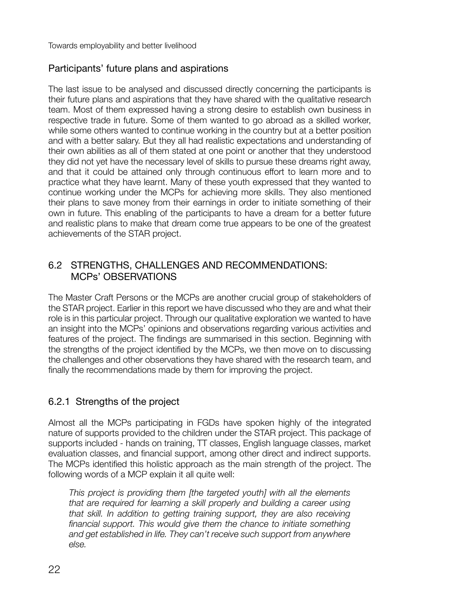#### Participants' future plans and aspirations

The last issue to be analysed and discussed directly concerning the participants is their future plans and aspirations that they have shared with the qualitative research team. Most of them expressed having a strong desire to establish own business in respective trade in future. Some of them wanted to go abroad as a skilled worker, while some others wanted to continue working in the country but at a better position and with a better salary. But they all had realistic expectations and understanding of their own abilities as all of them stated at one point or another that they understood they did not yet have the necessary level of skills to pursue these dreams right away, and that it could be attained only through continuous effort to learn more and to practice what they have learnt. Many of these youth expressed that they wanted to continue working under the MCPs for achieving more skills. They also mentioned their plans to save money from their earnings in order to initiate something of their own in future. This enabling of the participants to have a dream for a better future and realistic plans to make that dream come true appears to be one of the greatest achievements of the STAR project.

#### 6.2 STRENGTHS, CHALLENGES AND RECOMMENDATIONS: MCPs' OBSERVATIONS

The Master Craft Persons or the MCPs are another crucial group of stakeholders of the STAR project. Earlier in this report we have discussed who they are and what their role is in this particular project. Through our qualitative exploration we wanted to have an insight into the MCPs' opinions and observations regarding various activities and features of the project. The findings are summarised in this section. Beginning with the strengths of the project identified by the MCPs, we then move on to discussing the challenges and other observations they have shared with the research team, and finally the recommendations made by them for improving the project.

#### 6.2.1 Strengths of the project

Almost all the MCPs participating in FGDs have spoken highly of the integrated nature of supports provided to the children under the STAR project. This package of supports included - hands on training,  $\Pi$  classes, English language classes, market evaluation classes, and financial support, among other direct and indirect supports. The MCPs identified this holistic approach as the main strength of the project. The following words of a MCP explain it all quite well:

*This project is providing them [the targeted youth] with all the elements that are required for learning a skill properly and building a career using that skill. In addition to getting training support, they are also receiving*  financial support. This would give them the chance to initiate something *and get established in life. They can't receive such support from anywhere else.*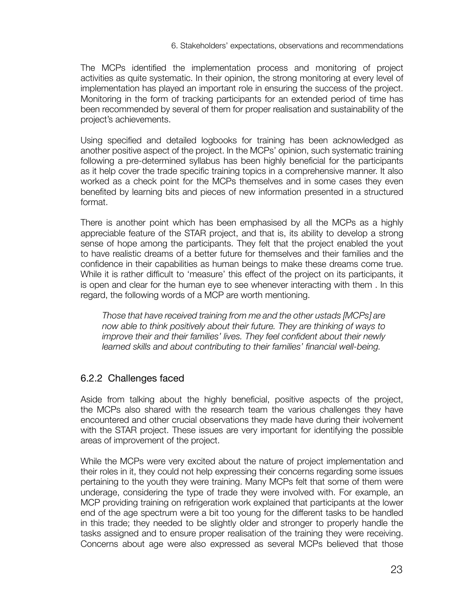The MCPs identified the implementation process and monitoring of project activities as quite systematic. In their opinion, the strong monitoring at every level of implementation has played an important role in ensuring the success of the project. Monitoring in the form of tracking participants for an extended period of time has been recommended by several of them for proper realisation and sustainability of the project's achievements.

Using specified and detailed logbooks for training has been acknowledged as another positive aspect of the project. In the MCPs' opinion, such systematic training following a pre-determined syllabus has been highly beneficial for the participants as it help cover the trade specific training topics in a comprehensive manner. It also worked as a check point for the MCPs themselves and in some cases they even benefited by learning bits and pieces of new information presented in a structured format.

There is another point which has been emphasised by all the MCPs as a highly appreciable feature of the STAR project, and that is, its ability to develop a strong sense of hope among the participants. They felt that the project enabled the yout to have realistic dreams of a better future for themselves and their families and the confidence in their capabilities as human beings to make these dreams come true. While it is rather difficult to 'measure' this effect of the project on its participants, it is open and clear for the human eye to see whenever interacting with them . In this regard, the following words of a MCP are worth mentioning.

*Those that have received training from me and the other ustads [MCPs] are now able to think positively about their future. They are thinking of ways to improve their and their families' lives. They feel confident about their newly*  learned skills and about contributing to their families' financial well-being.

#### 6.2.2 Challenges faced

Aside from talking about the highly beneficial, positive aspects of the project, the MCPs also shared with the research team the various challenges they have encountered and other crucial observations they made have during their ivolvement with the STAR project. These issues are very important for identifying the possible areas of improvement of the project.

While the MCPs were very excited about the nature of project implementation and their roles in it, they could not help expressing their concerns regarding some issues pertaining to the youth they were training. Many MCPs felt that some of them were underage, considering the type of trade they were involved with. For example, an MCP providing training on refrigeration work explained that participants at the lower end of the age spectrum were a bit too young for the different tasks to be handled in this trade; they needed to be slightly older and stronger to properly handle the tasks assigned and to ensure proper realisation of the training they were receiving. Concerns about age were also expressed as several MCPs believed that those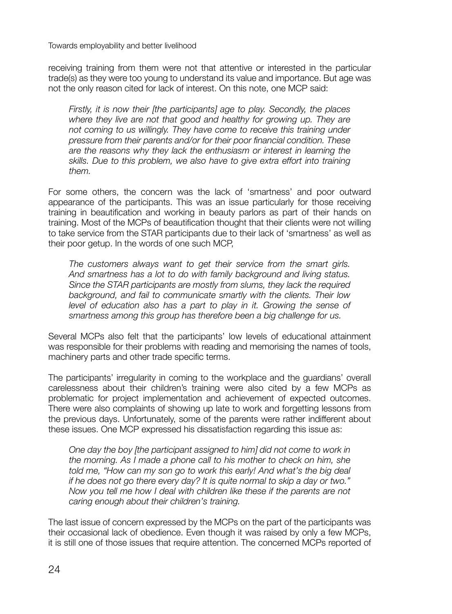receiving training from them were not that attentive or interested in the particular trade(s) as they were too young to understand its value and importance. But age was not the only reason cited for lack of interest. On this note, one MCP said:

*Firstly, it is now their [the participants] age to play. Secondly, the places*  where they live are not that good and healthy for growing up. They are *not coming to us willingly. They have come to receive this training under pressure from their parents and/or for their poor financial condition. These are the reasons why they lack the enthusiasm or interest in learning the skills. Due to this problem, we also have to give extra effort into training them.*

For some others, the concern was the lack of 'smartness' and poor outward appearance of the participants. This was an issue particularly for those receiving training in beautification and working in beauty parlors as part of their hands on training. Most of the MCPs of beautification thought that their clients were not willing to take service from the STAR participants due to their lack of 'smartness' as well as their poor getup. In the words of one such MCP,

*The customers always want to get their service from the smart girls. And smartness has a lot to do with family background and living status. Since the STAR participants are mostly from slums, they lack the required background, and fail to communicate smartly with the clients. Their low level of education also has a part to play in it. Growing the sense of smartness among this group has therefore been a big challenge for us.*

Several MCPs also felt that the participants' low levels of educational attainment was responsible for their problems with reading and memorising the names of tools, machinery parts and other trade specific terms.

The participants' irregularity in coming to the workplace and the guardians' overall carelessness about their children's training were also cited by a few MCPs as problematic for project implementation and achievement of expected outcomes. There were also complaints of showing up late to work and forgetting lessons from the previous days. Unfortunately, some of the parents were rather indifferent about these issues. One MCP expressed his dissatisfaction regarding this issue as:

*One day the boy [the participant assigned to him] did not come to work in the morning. As I made a phone call to his mother to check on him, she told me, "How can my son go to work this early! And what's the big deal if he does not go there every day? It is quite normal to skip a day or two." Now you tell me how I deal with children like these if the parents are not caring enough about their children's training.* 

The last issue of concern expressed by the MCPs on the part of the participants was their occasional lack of obedience. Even though it was raised by only a few MCPs, it is still one of those issues that require attention. The concerned MCPs reported of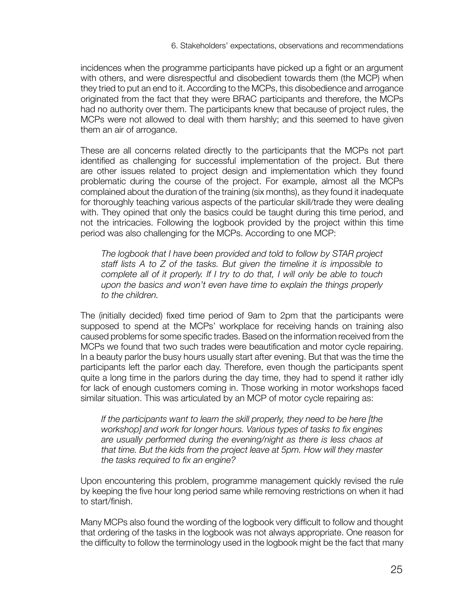incidences when the programme participants have picked up a fight or an argument with others, and were disrespectful and disobedient towards them (the MCP) when they tried to put an end to it. According to the MCPs, this disobedience and arrogance originated from the fact that they were BRAC participants and therefore, the MCPs had no authority over them. The participants knew that because of project rules, the MCPs were not allowed to deal with them harshly; and this seemed to have given them an air of arrogance.

These are all concerns related directly to the participants that the MCPs not part identified as challenging for successful implementation of the project. But there are other issues related to project design and implementation which they found problematic during the course of the project. For example, almost all the MCPs complained about the duration of the training (six months), as they found it inadequate for thoroughly teaching various aspects of the particular skill/trade they were dealing with. They opined that only the basics could be taught during this time period, and not the intricacies. Following the logbook provided by the project within this time period was also challenging for the MCPs. According to one MCP:

*The logbook that I have been provided and told to follow by STAR project staff lists A to Z of the tasks. But given the timeline it is impossible to complete all of it properly. If I try to do that, I will only be able to touch upon the basics and won't even have time to explain the things properly to the children.*

The (initially decided) fixed time period of 9am to 2pm that the participants were supposed to spend at the MCPs' workplace for receiving hands on training also caused problems for some specific trades. Based on the information received from the MCPs we found that two such trades were beautification and motor cycle repairing. In a beauty parlor the busy hours usually start after evening. But that was the time the participants left the parlor each day. Therefore, even though the participants spent quite a long time in the parlors during the day time, they had to spend it rather idly for lack of enough customers coming in. Those working in motor workshops faced similar situation. This was articulated by an MCP of motor cycle repairing as:

*If the participants want to learn the skill properly, they need to be here [the workshop] and work for longer hours. Various types of tasks to fix engines are usually performed during the evening/night as there is less chaos at that time. But the kids from the project leave at 5pm. How will they master the tasks required to fix an engine?*

Upon encountering this problem, programme management quickly revised the rule by keeping the five hour long period same while removing restrictions on when it had to start/finish.

Many MCPs also found the wording of the logbook very difficult to follow and thought that ordering of the tasks in the logbook was not always appropriate. One reason for the difficulty to follow the terminology used in the logbook might be the fact that many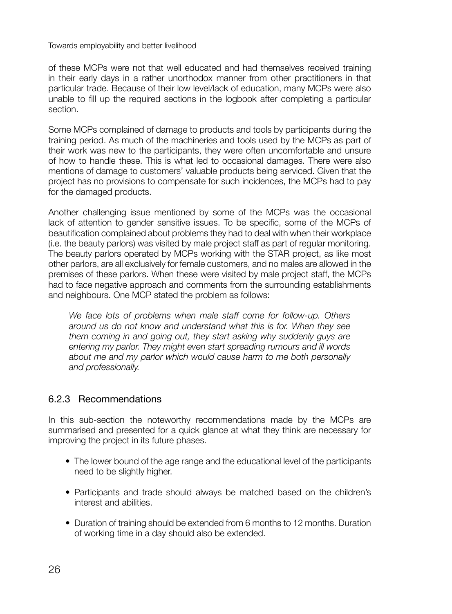of these MCPs were not that well educated and had themselves received training in their early days in a rather unorthodox manner from other practitioners in that particular trade. Because of their low level/lack of education, many MCPs were also unable to fill up the required sections in the logbook after completing a particular section.

Some MCPs complained of damage to products and tools by participants during the training period. As much of the machineries and tools used by the MCPs as part of their work was new to the participants, they were often uncomfortable and unsure of how to handle these. This is what led to occasional damages. There were also mentions of damage to customers' valuable products being serviced. Given that the project has no provisions to compensate for such incidences, the MCPs had to pay for the damaged products.

Another challenging issue mentioned by some of the MCPs was the occasional lack of attention to gender sensitive issues. To be specific, some of the MCPs of beautification complained about problems they had to deal with when their workplace (i.e. the beauty parlors) was visited by male project staff as part of regular monitoring. The beauty parlors operated by MCPs working with the STAR project, as like most other parlors, are all exclusively for female customers, and no males are allowed in the premises of these parlors. When these were visited by male project staff, the MCPs had to face negative approach and comments from the surrounding establishments and neighbours. One MCP stated the problem as follows:

*We face lots of problems when male staff come for follow-up. Others around us do not know and understand what this is for. When they see them coming in and going out, they start asking why suddenly guys are entering my parlor. They might even start spreading rumours and ill words about me and my parlor which would cause harm to me both personally and professionally.*

#### 6.2.3 Recommendations

In this sub-section the noteworthy recommendations made by the MCPs are summarised and presented for a quick glance at what they think are necessary for improving the project in its future phases.

- The lower bound of the age range and the educational level of the participants need to be slightly higher.
- Participants and trade should always be matched based on the children's interest and abilities.
- Duration of training should be extended from 6 months to 12 months. Duration of working time in a day should also be extended.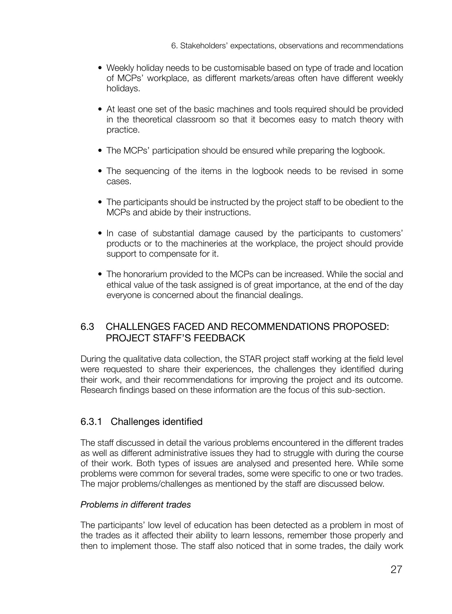- Weekly holiday needs to be customisable based on type of trade and location of MCPs' workplace, as different markets/areas often have different weekly holidays.
- At least one set of the basic machines and tools required should be provided in the theoretical classroom so that it becomes easy to match theory with practice.
- The MCPs' participation should be ensured while preparing the logbook.
- The sequencing of the items in the logbook needs to be revised in some cases.
- The participants should be instructed by the project staff to be obedient to the MCPs and abide by their instructions.
- In case of substantial damage caused by the participants to customers' products or to the machineries at the workplace, the project should provide support to compensate for it.
- The honorarium provided to the MCPs can be increased. While the social and ethical value of the task assigned is of great importance, at the end of the day everyone is concerned about the financial dealings.

#### 6.3 CHALLENGES FACED AND RECOMMENDATIONS PROPOSED: PROJECT STAFF'S FEEDBACK

During the qualitative data collection, the STAR project staff working at the field level were requested to share their experiences, the challenges they identified during their work, and their recommendations for improving the project and its outcome. Research findings based on these information are the focus of this sub-section.

#### 6.3.1 Challenges identified

The staff discussed in detail the various problems encountered in the different trades as well as different administrative issues they had to struggle with during the course of their work. Both types of issues are analysed and presented here. While some problems were common for several trades, some were specific to one or two trades. The major problems/challenges as mentioned by the staff are discussed below.

#### *Problems in different trades*

The participants' low level of education has been detected as a problem in most of the trades as it affected their ability to learn lessons, remember those properly and then to implement those. The staff also noticed that in some trades, the daily work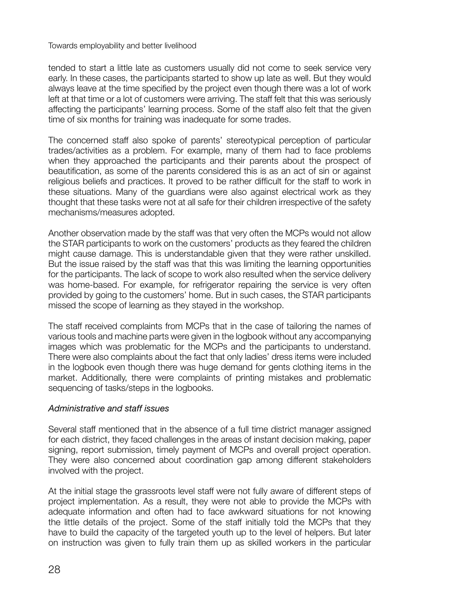tended to start a little late as customers usually did not come to seek service very early. In these cases, the participants started to show up late as well. But they would always leave at the time specified by the project even though there was a lot of work left at that time or a lot of customers were arriving. The staff felt that this was seriously affecting the participants' learning process. Some of the staff also felt that the given time of six months for training was inadequate for some trades.

The concerned staff also spoke of parents' stereotypical perception of particular trades/activities as a problem. For example, many of them had to face problems when they approached the participants and their parents about the prospect of beautification, as some of the parents considered this is as an act of sin or against religious beliefs and practices. It proved to be rather difficult for the staff to work in these situations. Many of the guardians were also against electrical work as they thought that these tasks were not at all safe for their children irrespective of the safety mechanisms/measures adopted.

Another observation made by the staff was that very often the MCPs would not allow the STAR participants to work on the customers' products as they feared the children might cause damage. This is understandable given that they were rather unskilled. But the issue raised by the staff was that this was limiting the learning opportunities for the participants. The lack of scope to work also resulted when the service delivery was home-based. For example, for refrigerator repairing the service is very often provided by going to the customers' home. But in such cases, the STAR participants missed the scope of learning as they stayed in the workshop.

The staff received complaints from MCPs that in the case of tailoring the names of various tools and machine parts were given in the logbook without any accompanying images which was problematic for the MCPs and the participants to understand. There were also complaints about the fact that only ladies' dress items were included in the logbook even though there was huge demand for gents clothing items in the market. Additionally, there were complaints of printing mistakes and problematic sequencing of tasks/steps in the logbooks.

#### *Administrative and staff issues*

Several staff mentioned that in the absence of a full time district manager assigned for each district, they faced challenges in the areas of instant decision making, paper signing, report submission, timely payment of MCPs and overall project operation. They were also concerned about coordination gap among different stakeholders involved with the project.

At the initial stage the grassroots level staff were not fully aware of different steps of project implementation. As a result, they were not able to provide the MCPs with adequate information and often had to face awkward situations for not knowing the little details of the project. Some of the staff initially told the MCPs that they have to build the capacity of the targeted youth up to the level of helpers. But later on instruction was given to fully train them up as skilled workers in the particular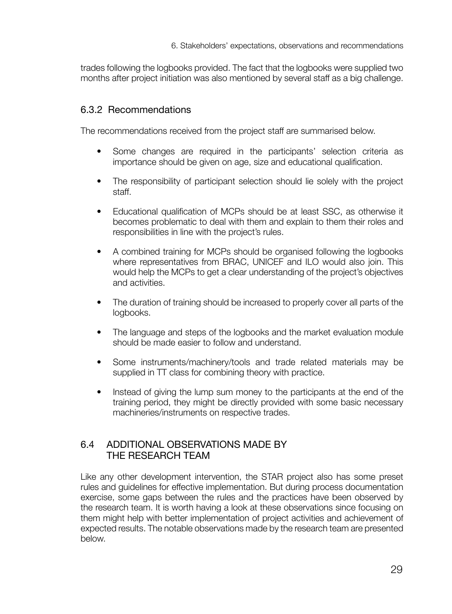trades following the logbooks provided. The fact that the logbooks were supplied two months after project initiation was also mentioned by several staff as a big challenge.

#### 6.3.2 Recommendations

The recommendations received from the project staff are summarised below.

- Some changes are required in the participants' selection criteria as importance should be given on age, size and educational qualification.
- The responsibility of participant selection should lie solely with the project staff.
- Educational qualification of MCPs should be at least SSC, as otherwise it becomes problematic to deal with them and explain to them their roles and responsibilities in line with the project's rules.
- A combined training for MCPs should be organised following the logbooks where representatives from BRAC, UNICEF and ILO would also join. This would help the MCPs to get a clear understanding of the project's objectives and activities.
- The duration of training should be increased to properly cover all parts of the logbooks.
- The language and steps of the logbooks and the market evaluation module should be made easier to follow and understand.
- Some instruments/machinery/tools and trade related materials may be supplied in TT class for combining theory with practice.
- Instead of giving the lump sum money to the participants at the end of the training period, they might be directly provided with some basic necessary machineries/instruments on respective trades.

#### 6.4 ADDITIONAL OBSERVATIONS MADE BY THE RESEARCH TEAM

Like any other development intervention, the STAR project also has some preset rules and guidelines for effective implementation. But during process documentation exercise, some gaps between the rules and the practices have been observed by the research team. It is worth having a look at these observations since focusing on them might help with better implementation of project activities and achievement of expected results. The notable observations made by the research team are presented below.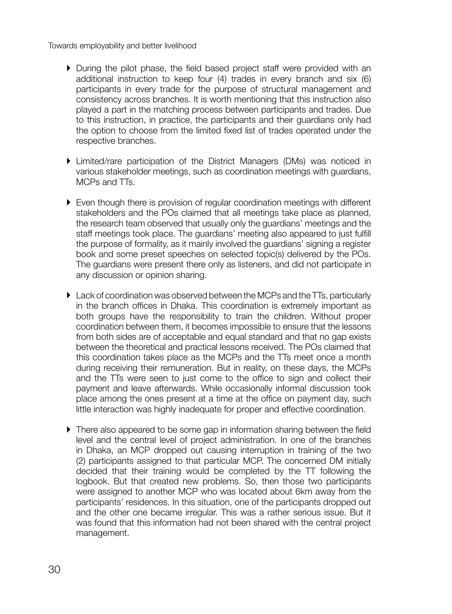- During the pilot phase, the field based project staff were provided with an additional instruction to keep four (4) trades in every branch and six (6) participants in every trade for the purpose of structural management and consistency across branches. It is worth mentioning that this instruction also played a part in the matching process between participants and trades. Due to this instruction, in practice, the participants and their guardians only had the option to choose from the limited fixed list of trades operated under the respective branches.
- Limited/rare participation of the District Managers (DMs) was noticed in various stakeholder meetings, such as coordination meetings with guardians, MCPs and TTs.
- Even though there is provision of regular coordination meetings with different stakeholders and the POs claimed that all meetings take place as planned, the research team observed that usually only the guardians' meetings and the staff meetings took place. The guardians' meeting also appeared to just fulfill the purpose of formality, as it mainly involved the guardians' signing a register book and some preset speeches on selected topic(s) delivered by the POs. The guardians were present there only as listeners, and did not participate in any discussion or opinion sharing.
- Lack of coordination was observed between the MCPs and the TTs, particularly in the branch offices in Dhaka. This coordination is extremely important as both groups have the responsibility to train the children. Without proper coordination between them, it becomes impossible to ensure that the lessons from both sides are of acceptable and equal standard and that no gap exists between the theoretical and practical lessons received. The POs claimed that this coordination takes place as the MCPs and the TTs meet once a month during receiving their remuneration. But in reality, on these days, the MCPs and the TTs were seen to just come to the office to sign and collect their payment and leave afterwards. While occasionally informal discussion took place among the ones present at a time at the office on payment day, such little interaction was highly inadequate for proper and effective coordination.
- There also appeared to be some gap in information sharing between the field level and the central level of project administration. In one of the branches in Dhaka, an MCP dropped out causing interruption in training of the two (2) participants assigned to that particular MCP. The concerned DM initially decided that their training would be completed by the TT following the logbook. But that created new problems. So, then those two participants were assigned to another MCP who was located about 6km away from the participants' residences. In this situation, one of the participants dropped out and the other one became irregular. This was a rather serious issue. But it was found that this information had not been shared with the central project management.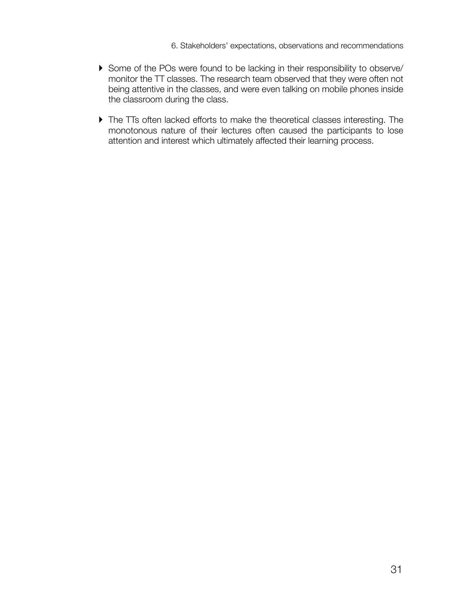- 6. Stakeholders' expectations, observations and recommendations
- Some of the POs were found to be lacking in their responsibility to observe/ monitor the TT classes. The research team observed that they were often not being attentive in the classes, and were even talking on mobile phones inside the classroom during the class.
- The TTs often lacked efforts to make the theoretical classes interesting. The monotonous nature of their lectures often caused the participants to lose attention and interest which ultimately affected their learning process.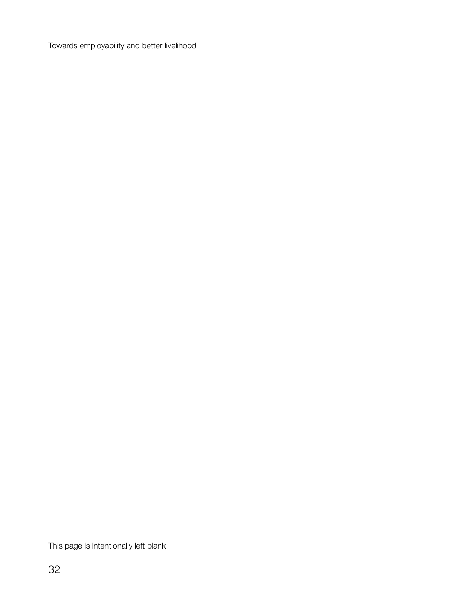This page is intentionally left blank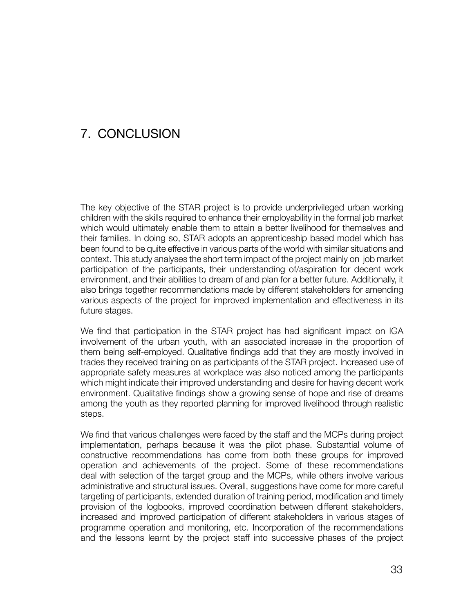# 7. CONCLUSION

The key objective of the STAR project is to provide underprivileged urban working children with the skills required to enhance their employability in the formal job market which would ultimately enable them to attain a better livelihood for themselves and their families. In doing so, STAR adopts an apprenticeship based model which has been found to be quite effective in various parts of the world with similar situations and context. This study analyses the short term impact of the project mainly on job market participation of the participants, their understanding of/aspiration for decent work environment, and their abilities to dream of and plan for a better future. Additionally, it also brings together recommendations made by different stakeholders for amending various aspects of the project for improved implementation and effectiveness in its future stages.

We find that participation in the STAR project has had significant impact on IGA involvement of the urban youth, with an associated increase in the proportion of them being self-employed. Qualitative findings add that they are mostly involved in trades they received training on as participants of the STAR project. Increased use of appropriate safety measures at workplace was also noticed among the participants which might indicate their improved understanding and desire for having decent work environment. Qualitative findings show a growing sense of hope and rise of dreams among the youth as they reported planning for improved livelihood through realistic steps.

We find that various challenges were faced by the staff and the MCPs during project implementation, perhaps because it was the pilot phase. Substantial volume of constructive recommendations has come from both these groups for improved operation and achievements of the project. Some of these recommendations deal with selection of the target group and the MCPs, while others involve various administrative and structural issues. Overall, suggestions have come for more careful targeting of participants, extended duration of training period, modification and timely provision of the logbooks, improved coordination between different stakeholders, increased and improved participation of different stakeholders in various stages of programme operation and monitoring, etc. Incorporation of the recommendations and the lessons learnt by the project staff into successive phases of the project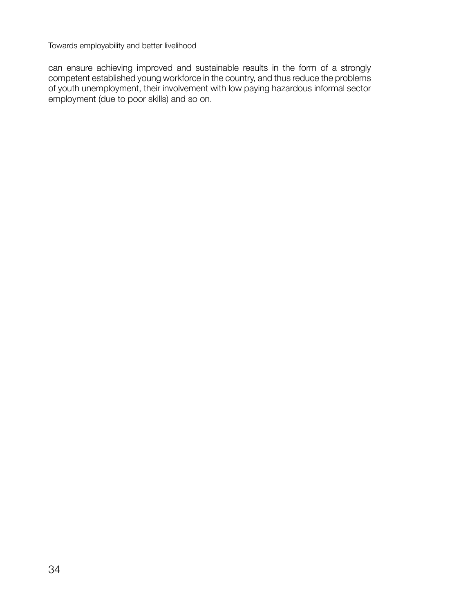can ensure achieving improved and sustainable results in the form of a strongly competent established young workforce in the country, and thus reduce the problems of youth unemployment, their involvement with low paying hazardous informal sector employment (due to poor skills) and so on.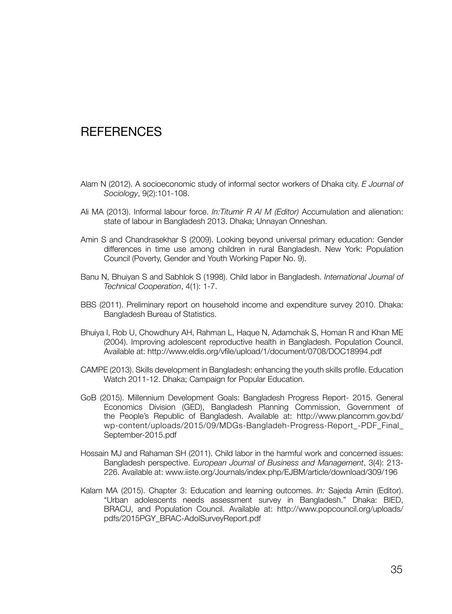### **REFERENCES**

- Alam N (2012). A socioeconomic study of informal sector workers of Dhaka city. *E Journal of Sociology*, 9(2):101-108.
- Ali MA (2013). Informal labour force. *In:Titumir R Al M (Editor)* Accumulation and alienation: state of labour in Bangladesh 2013. Dhaka; Unnayan Onneshan.
- Amin S and Chandrasekhar S (2009). Looking beyond universal primary education: Gender differences in time use among children in rural Bangladesh. New York: Population Council (Poverty, Gender and Youth Working Paper No. 9).
- Banu N, Bhuiyan S and Sabhlok S (1998). Child labor in Bangladesh. *International Journal of Technical Cooperation*, 4(1): 1-7.
- BBS (2011). Preliminary report on household income and expenditure survey 2010. Dhaka: Bangladesh Bureau of Statistics.
- Bhuiya I, Rob U, Chowdhury AH, Rahman L, Haque N, Adamchak S, Homan R and Khan ME (2004). Improving adolescent reproductive health in Bangladesh. Population Council. Available at: http://www.eldis.org/vfile/upload/1/document/0708/DOC18994.pdf
- CAMPE (2013). Skills development in Bangladesh: enhancing the youth skills profile. Education Watch 2011-12. Dhaka; Campaign for Popular Education.
- GoB (2015). Millennium Development Goals: Bangladesh Progress Report- 2015. General Economics Division (GED), Bangladesh Planning Commission, Government of the People's Republic of Bangladesh. Available at: http://www.plancomm.gov.bd/ wp-content/uploads/2015/09/MDGs-Bangladeh-Progress-Report\_-PDF\_Final\_ September-2015.pdf
- Hossain MJ and Rahaman SH (2011). Child labor in the harmful work and concerned issues: Bangladesh perspective. E*uropean Journal of Business and Management*, 3(4): 213- 226. Available at: www.iiste.org/Journals/index.php/EJBM/article/download/309/196
- Kalam MA (2015). Chapter 3: Education and learning outcomes. *In:* Sajeda Amin (Editor). "Urban adolescents needs assessment survey in Bangladesh." Dhaka: BIED, BRACU, and Population Council. Available at: http://www.popcouncil.org/uploads/ pdfs/2015PGY\_BRAC-AdolSurveyReport.pdf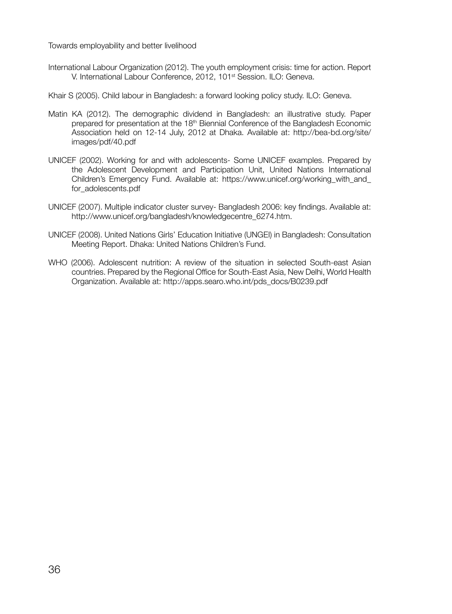International Labour Organization (2012). The youth employment crisis: time for action. Report V. International Labour Conference, 2012, 101<sup>st</sup> Session. ILO: Geneva.

Khair S (2005). Child labour in Bangladesh: a forward looking policy study. ILO: Geneva.

- Matin KA (2012). The demographic dividend in Bangladesh: an illustrative study. Paper prepared for presentation at the 18<sup>th</sup> Biennial Conference of the Bangladesh Economic Association held on 12-14 July, 2012 at Dhaka. Available at: http://bea-bd.org/site/ images/pdf/40.pdf
- UNICEF (2002). Working for and with adolescents- Some UNICEF examples. Prepared by the Adolescent Development and Participation Unit, United Nations International Children's Emergency Fund. Available at: https://www.unicef.org/working\_with\_and\_ for adolescents.pdf
- UNICEF (2007). Multiple indicator cluster survey- Bangladesh 2006: key findings. Available at: http://www.unicef.org/bangladesh/knowledgecentre\_6274.htm.
- UNICEF (2008). United Nations Girls' Education Initiative (UNGEI) in Bangladesh: Consultation Meeting Report. Dhaka: United Nations Children's Fund.
- WHO (2006). Adolescent nutrition: A review of the situation in selected South-east Asian countries. Prepared by the Regional Office for South-East Asia, New Delhi, World Health Organization. Available at: http://apps.searo.who.int/pds\_docs/B0239.pdf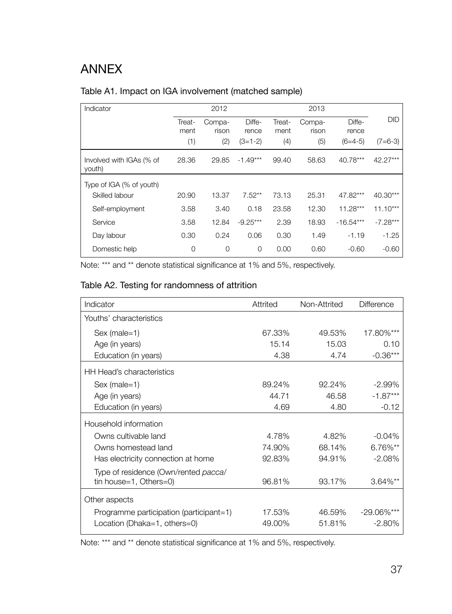# ANNEX

#### Table A1. Impact on IGA involvement (matched sample)

| Indicator                          | 2012        |         |              | 2013   |        |             |            |
|------------------------------------|-------------|---------|--------------|--------|--------|-------------|------------|
|                                    | Treat-      | Compa-  | Diffe-       | Treat- | Compa- | Diffe-      | <b>DID</b> |
|                                    | ment        | rison   | rence        | ment   | rison  | rence       |            |
|                                    | (1)         | (2)     | $(3=1-2)$    | (4)    | (5)    | $(6=4-5)$   | $(7=6-3)$  |
| Involved with IGAs (% of<br>youth) | 28.36       | 29.85   | $-1.49***$   | 99.40  | 58.63  | 40.78***    | $42.27***$ |
| Type of IGA (% of youth)           |             |         |              |        |        |             |            |
| Skilled labour                     | 20.90       | 13.37   | $7.52**$     | 73.13  | 25.31  | 47.82***    | $40.30***$ |
| Self-employment                    | 3.58        | 3.40    | 0.18         | 23.58  | 12.30  | $11.28***$  | $11.10***$ |
| Service                            | 3.58        | 12.84   | $-9.25***$   | 2.39   | 18.93  | $-16.54***$ | $-7.28***$ |
| Day labour                         | 0.30        | 0.24    | 0.06         | 0.30   | 1.49   | $-1.19$     | $-1.25$    |
| Domestic help                      | $\mathbf 0$ | $\circ$ | $\mathbf{O}$ | 0.00   | 0.60   | $-0.60$     | $-0.60$    |

Note: \*\*\* and \*\* denote statistical significance at 1% and 5%, respectively.

#### Table A2. Testing for randomness of attrition

| Attrited | Non-Attrited | <b>Difference</b> |
|----------|--------------|-------------------|
|          |              |                   |
| 67.33%   | 49.53%       | 17.80%***         |
| 15.14    | 15.03        | 0.10              |
| 4.38     | 4.74         | $-0.36***$        |
|          |              |                   |
| 89.24%   | 92.24%       | $-2.99\%$         |
| 44.71    | 46.58        | $-1.87***$        |
| 4.69     | 4.80         | $-0.12$           |
|          |              |                   |
| 4.78%    | 4.82%        | $-0.04%$          |
| 74.90%   | 68.14%       | $6.76\%**$        |
| 92.83%   | 94.91%       | $-2.08%$          |
|          |              |                   |
| 96.81%   | 93.17%       | $3.64\%$ **       |
|          |              |                   |
| 17.53%   | 46.59%       | $-29.06\%$ ***    |
| 49.00%   | 51.81%       | $-2.80\%$         |
|          |              |                   |

Note: \*\*\* and \*\* denote statistical significance at 1% and 5%, respectively.